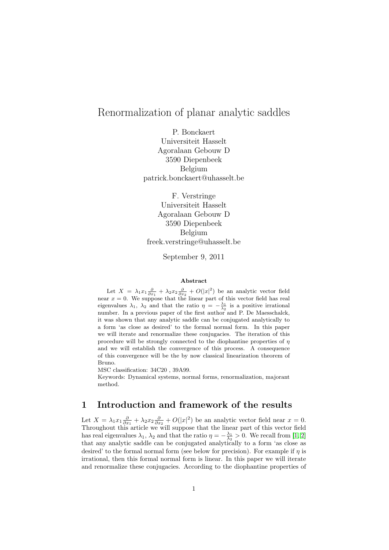# Renormalization of planar analytic saddles

P. Bonckaert Universiteit Hasselt Agoralaan Gebouw D 3590 Diepenbeek Belgium patrick.bonckaert@uhasselt.be

F. Verstringe Universiteit Hasselt Agoralaan Gebouw D 3590 Diepenbeek Belgium freek.verstringe@uhasselt.be

September 9, 2011

#### Abstract

Let  $X = \lambda_1 x_1 \frac{\partial}{\partial x_1} + \lambda_2 x_2 \frac{\partial}{\partial x_2} + O(|x|^2)$  be an analytic vector field near  $x = 0$ . We suppose that the linear part of this vector field has real eigenvalues  $\lambda_1$ ,  $\lambda_2$  and that the ratio  $\eta = -\frac{\lambda_1}{\lambda_2}$  is a positive irrational number. In a previous paper of the first author and P. De Maesschalck, it was shown that any analytic saddle can be conjugated analytically to a form 'as close as desired' to the formal normal form. In this paper we will iterate and renormalize these conjugacies. The iteration of this procedure will be strongly connected to the diophantine properties of  $\eta$ and we will establish the convergence of this process. A consequence of this convergence will be the by now classical linearization theorem of Bruno.

MSC classification: 34C20 , 39A99.

Keywords: Dynamical systems, normal forms, renormalization, majorant method.

### 1 Introduction and framework of the results

Let  $X = \lambda_1 x_1 \frac{\partial}{\partial x_1} + \lambda_2 x_2 \frac{\partial}{\partial x_2} + O(|x|^2)$  be an analytic vector field near  $x = 0$ . Throughout this article we will suppose that the linear part of this vector field has real eigenvalues  $\lambda_1, \lambda_2$  and that the ratio  $\eta = -\frac{\lambda_1}{\lambda_2} > 0$ . We recall from [\[1,](#page-24-0) [2\]](#page-24-1) that any analytic saddle can be conjugated analytically to a form 'as close as desired' to the formal normal form (see below for precision). For example if  $\eta$  is irrational, then this formal normal form is linear. In this paper we will iterate and renormalize these conjugacies. According to the diophantine properties of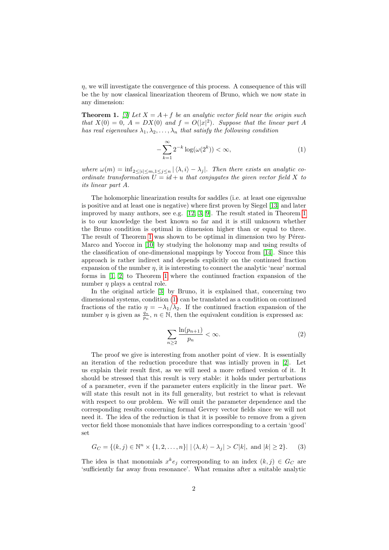$\eta$ , we will investigate the convergence of this process. A consequence of this will be the by now classical linearization theorem of Bruno, which we now state in any dimension:

**Theorem 1.** [\[3\]](#page-24-2) Let  $X = A + f$  be an analytic vector field near the origin such that  $X(0) = 0$ ,  $A = DX(0)$  and  $f = O(|x|^2)$ . Suppose that the linear part A has real eigenvalues  $\lambda_1, \lambda_2, \ldots, \lambda_n$  that satisfy the following condition

<span id="page-1-0"></span>
$$
-\sum_{k=1}^{\infty} 2^{-k} \log(\omega(2^k)) < \infty,\tag{1}
$$

where  $\omega(m) = \inf_{2 \leq |i| \leq m, 1 \leq j \leq n} |\langle \lambda, i \rangle - \lambda_j|$ . Then there exists an analytic coordinate transformation  $U = id + u$  that conjugates the given vector field X to its linear part A.

The holomorphic linearization results for saddles (i.e. at least one eigenvalue is positive and at least one is negative) where first proven by Siegel [\[13\]](#page-24-3) and later improved by many authors, see e.g. [\[12,](#page-24-4) [3,](#page-24-2) [9\]](#page-24-5). The result stated in Theorem [1](#page-1-0) is to our knowledge the best known so far and it is still unknown whether the Bruno condition is optimal in dimension higher than or equal to three. The result of Theorem [1](#page-1-0) was shown to be optimal in dimension two by Pérez-Marco and Yoccoz in [\[10\]](#page-24-6) by studying the holonomy map and using results of the classification of one-dimensional mappings by Yoccoz from [\[14\]](#page-24-7). Since this approach is rather indirect and depends explicitly on the continued fraction expansion of the number  $\eta$ , it is interesting to connect the analytic 'near' normal forms in [\[1,](#page-24-0) [2\]](#page-24-1) to Theorem [1](#page-1-0) where the continued fraction expansion of the number  $\eta$  plays a central role.

In the original article [\[3\]](#page-24-2) by Bruno, it is explained that, concerning two dimensional systems, condition [\(1\)](#page-1-0) can be translated as a condition on continued fractions of the ratio  $\eta = -\lambda_1/\lambda_2$ . If the continued fraction expansion of the number  $\eta$  is given as  $\frac{q_n}{p_n}$ ,  $n \in \mathbb{N}$ , then the equivalent condition is expressed as:

<span id="page-1-2"></span><span id="page-1-1"></span>
$$
\sum_{n\geq 2} \frac{\ln(p_{n+1})}{p_n} < \infty. \tag{2}
$$

The proof we give is interesting from another point of view. It is essentially an iteration of the reduction procedure that was intially proven in [\[2\]](#page-24-1). Let us explain their result first, as we will need a more refined version of it. It should be stressed that this result is very stable: it holds under perturbations of a parameter, even if the parameter enters explicitly in the linear part. We will state this result not in its full generality, but restrict to what is relevant with respect to our problem. We will omit the parameter dependence and the corresponding results concerning formal Gevrey vector fields since we will not need it. The idea of the reduction is that it is possible to remove from a given vector field those monomials that have indices corresponding to a certain 'good' set

$$
G_C = \{(k, j) \in \mathbb{N}^n \times \{1, 2, \dots, n\} \mid |\langle \lambda, k \rangle - \lambda_j| > C|k|, \text{ and } |k| \ge 2\}. \tag{3}
$$

The idea is that monomials  $x^k e_j$  corresponding to an index  $(k, j) \in G_C$  are 'sufficiently far away from resonance'. What remains after a suitable analytic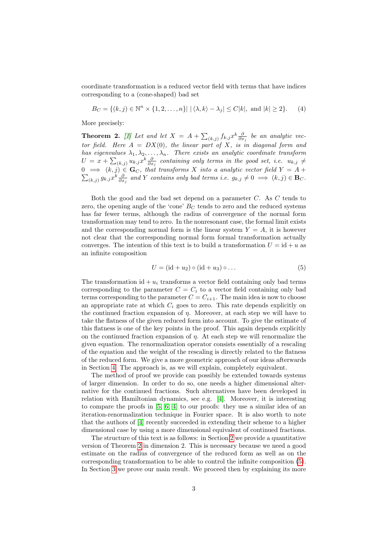coordinate transformation is a reduced vector field with terms that have indices corresponding to a (cone-shaped) bad set

<span id="page-2-2"></span>
$$
B_C = \{(k, j) \in \mathbb{N}^n \times \{1, 2, \dots, n\} \mid |\langle \lambda, k \rangle - \lambda_j| \le C |k|, \text{ and } |k| \ge 2\}. \tag{4}
$$

More precisely:

<span id="page-2-0"></span>**Theorem 2.** [\[1\]](#page-24-0) Let and let  $X = A + \sum_{(k,j)} f_{k,j} x^k \frac{\partial}{\partial x_j}$  be an analytic vector field. Here  $A = DX(0)$ , the linear part of X, is in diagonal form and has eigenvalues  $\lambda_1, \lambda_2, \ldots, \lambda_n$ . There exists an analytic coordinate transform  $U = x + \sum_{(k,j)} u_{k,j} x^k \frac{\partial}{\partial x_j}$  containing only terms in the good set, i.e.  $u_{k,j} \neq$  $0 =$  $\sum$  $\Rightarrow$   $(k, j) \in \mathbf{G}_C$ , that transforms X into a analytic vector field  $Y = A +$  $(a_{k,j}) g_{k,j} x^k \frac{\partial}{\partial x_j}$  and Y contains only bad terms i.e.  $g_{k,j} \neq 0 \implies (k,j) \in \mathbf{B}_C$ .

Both the good and the bad set depend on a parameter C. As C tends to zero, the opening angle of the 'cone'  $B_C$  tends to zero and the reduced systems has far fewer terms, although the radius of convergence of the normal form transformation may tend to zero. In the nonresonant case, the formal limit exists and the corresponding normal form is the linear system  $Y = A$ , it is however not clear that the corresponding normal form formal transformation actually converges. The intention of this text is to build a transformation  $U = id + u$  as an infinite composition

<span id="page-2-1"></span>
$$
U = (\mathrm{id} + u_2) \circ (\mathrm{id} + u_3) \circ \dots \tag{5}
$$

The transformation id  $+ u_i$  transforms a vector field containing only bad terms corresponding to the parameter  $C = C_i$  to a vector field containing only bad terms corresponding to the parameter  $C = C_{i+1}$ . The main idea is now to choose an appropriate rate at which  $C_i$  goes to zero. This rate depends explicitly on the continued fraction expansion of  $\eta$ . Moreover, at each step we will have to take the flatness of the given reduced form into account. To give the estimate of this flatness is one of the key points in the proof. This again depends explicitly on the continued fraction expansion of  $\eta$ . At each step we will renormalize the given equation. The renormalization operator consists essentially of a rescaling of the equation and the weight of the rescaling is directly related to the flatness of the reduced form. We give a more geometric approach of our ideas afterwards in Section [4.](#page-18-0) The approach is, as we will explain, completely equivalent.

The method of proof we provide can possibly be extended towards systems of larger dimension. In order to do so, one needs a higher dimensional alternative for the continued fractions. Such alternatives have been developed in relation with Hamiltonian dynamics, see e.g. [\[4\]](#page-24-8). Moreover, it is interesting to compare the proofs in [\[5,](#page-24-9) [6,](#page-24-10) [4\]](#page-24-8) to our proofs: they use a similar idea of an iteration-renormalization technique in Fourier space. It is also worth to note that the authors of [\[4\]](#page-24-8) recently succeeded in extending their scheme to a higher dimensional case by using a more dimensional equivalent of continued fractions.

The structure of this text is as follows: in Section [2](#page-3-0) we provide a quantitative version of Theorem [2](#page-2-0) in dimension 2. This is necessary because we need a good estimate on the radius of convergence of the reduced form as well as on the corresponding transformation to be able to control the infinite composition [\(5\)](#page-2-1). In Section [3](#page-10-0) we prove our main result. We proceed then by explaining its more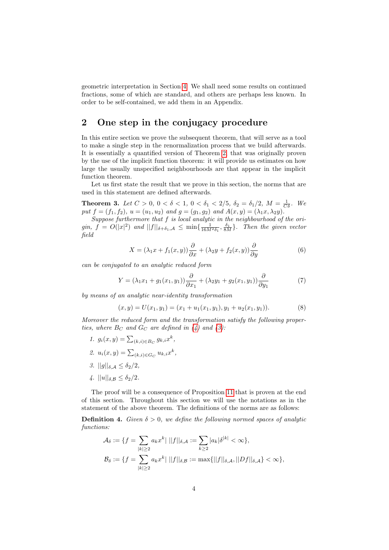geometric interpretation in Section [4.](#page-18-0) We shall need some results on continued fractions, some of which are standard, and others are perhaps less known. In order to be self-contained, we add them in an Appendix.

### <span id="page-3-0"></span>2 One step in the conjugacy procedure

In this entire section we prove the subsequent theorem, that will serve as a tool to make a single step in the renormalization process that we build afterwards. It is essentially a quantified version of Theorem [2,](#page-2-0) that was originally proven by the use of the implicit function theorem: it will provide us estimates on how large the usually unspecified neighbourhoods are that appear in the implicit function theorem.

Let us first state the result that we prove in this section, the norms that are used in this statement are defined afterwards.

**Theorem 3.** Let  $C > 0$ ,  $0 < \delta < 1$ ,  $0 < \delta_1 < 2/5$ ,  $\delta_2 = \delta_1/2$ ,  $M = \frac{1}{C\delta}$ . We put  $f = (f_1, f_2), u = (u_1, u_2)$  and  $g = (g_1, g_2)$  and  $A(x, y) = (\lambda_1 x, \lambda_2 y)$ .

Suppose furthermore that f is local analytic in the neighbourhood of the origin,  $f = O(|x|^2)$  and  $||f||_{\delta+\delta_1,\mathcal{A}} \le \min\{\frac{1}{16M^2\delta_1}, \frac{\delta_1}{8M}\}\.$  Then the given vector field

<span id="page-3-3"></span><span id="page-3-2"></span><span id="page-3-1"></span>
$$
X = (\lambda_1 x + f_1(x, y)) \frac{\partial}{\partial x} + (\lambda_2 y + f_2(x, y)) \frac{\partial}{\partial y}
$$
 (6)

can be conjugated to an analytic reduced form

$$
Y = (\lambda_1 x_1 + g_1(x_1, y_1)) \frac{\partial}{\partial x_1} + (\lambda_2 y_1 + g_2(x_1, y_1)) \frac{\partial}{\partial y_1}
$$
(7)

by means of an analytic near-identity transformation

$$
(x,y) = U(x_1,y_1) = (x_1 + u_1(x_1,y_1), y_1 + u_2(x_1,y_1)).
$$
\n(8)

Moreover the reduced form and the transformation satisfy the following properties, where  $B_C$  and  $G_C$  are defined in [\(4\)](#page-2-2) and [\(3\)](#page-1-1):

- 1.  $g_i(x, y) = \sum_{(k,i) \in B_C} g_{k,i} x^k$ ,
- 2.  $u_i(x, y) = \sum_{(k,i) \in G_C} u_{k,i} x^k$ ,
- 3.  $||g||_{\delta,\mathcal{A}} \leq \delta_2/2$ ,
- <span id="page-3-4"></span>4.  $||u||_{\delta B} < \delta_2/2$ .

The proof will be a consequence of Proposition [11](#page-10-1) that is proven at the end of this section. Throughout this section we will use the notations as in the statement of the above theorem. The definitions of the norms are as follows:

**Definition 4.** Given  $\delta > 0$ , we define the following normed spaces of analytic functions:

$$
\mathcal{A}_{\delta} := \{ f = \sum_{|k| \ge 2} a_k x^k | \ ||f||_{\delta, \mathcal{A}} := \sum_{k \ge 2} |a_k| \delta^{|k|} < \infty \},
$$
\n
$$
\mathcal{B}_{\delta} := \{ f = \sum_{|k| \ge 2} a_k x^k | \ ||f||_{\delta, \mathcal{B}} := \max \{ ||f||_{\delta, \mathcal{A}}, ||Df||_{\delta, \mathcal{A}} \} < \infty \},
$$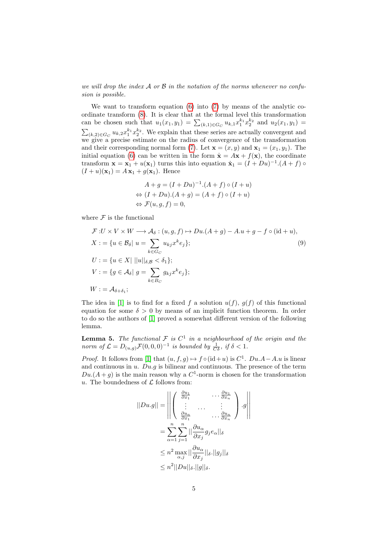we will drop the index  $A$  or  $B$  in the notation of the norms whenever no confusion is possible.

We want to transform equation [\(6\)](#page-3-1) into [\(7\)](#page-3-2) by means of the analytic coordinate transform [\(8\)](#page-3-3). It is clear that at the formal level this transformation can be chosen such that  $u_1(x_1, y_1) = \sum_{(k, 1) \in G_C} u_{k,1} x_1^{k_1} x_2^{k_2}$  and  $u_2(x_1, y_1) =$  $\sum_{(k,2)\in G_C} u_{k,2}x_1^{k_1}x_2^{k_2}$ . We explain that these series are actually convergent and we give a precise estimate on the radius of convergence of the transformation and their corresponding normal form [\(7\)](#page-3-2). Let  $\mathbf{x} = (x, y)$  and  $\mathbf{x}_1 = (x_1, y_1)$ . The initial equation [\(6\)](#page-3-1) can be written in the form  $\dot{\mathbf{x}} = A\mathbf{x} + f(\mathbf{x})$ , the coordinate transform  $\mathbf{x} = \mathbf{x}_1 + u(\mathbf{x}_1)$  turns this into equation  $\dot{\mathbf{x}}_1 = (I + Du)^{-1} (A + f)$  $(I + u)(\mathbf{x}_1) = A \mathbf{x}_1 + g(\mathbf{x}_1)$ . Hence

<span id="page-4-0"></span>
$$
A + g = (I + Du)^{-1}.(A + f) \circ (I + u)
$$
  
\n
$$
\Leftrightarrow (I + Du).(A + g) = (A + f) \circ (I + u)
$$
  
\n
$$
\Leftrightarrow \mathcal{F}(u, g, f) = 0,
$$

where  ${\mathcal F}$  is the functional

$$
\mathcal{F}: U \times V \times W \longrightarrow \mathcal{A}_{\delta}: (u, g, f) \mapsto Du.(A + g) - A.u + g - f \circ (\mathrm{id} + u),
$$
  
\n
$$
X := \{u \in \mathcal{B}_{\delta} | u = \sum_{k \in G_C} u_{kj} x^k e_j \};
$$
  
\n
$$
U := \{u \in X | ||u||_{\delta, \mathcal{B}} < \delta_1 \};
$$
  
\n
$$
V := \{g \in \mathcal{A}_{\delta} | g = \sum_{k \in B_C} g_{kj} x^k e_j \};
$$
  
\n
$$
W := \mathcal{A}_{\delta + \delta_1};
$$
  
\n(9)

The idea in [\[1\]](#page-24-0) is to find for a fixed f a solution  $u(f)$ ,  $g(f)$  of this functional equation for some  $\delta > 0$  by means of an implicit function theorem. In order to do so the authors of [\[1\]](#page-24-0) proved a somewhat different version of the following lemma.

**Lemma 5.** The functional F is  $C^1$  in a neighbourhood of the origin and the norm of  $\mathcal{L} = D_{(u,g)} \mathcal{F}(0,0,0)^{-1}$  is bounded by  $\frac{1}{C\delta}$ , if  $\delta < 1$ .

*Proof.* It follows from [\[1\]](#page-24-0) that  $(u, f, g) \mapsto f \circ (\mathrm{id} + u)$  is  $C^1$ .  $Du.A - A.u$  is linear and continuous in  $u$ .  $Du$ .g is bilinear and continuous. The presence of the term  $Du.(A+g)$  is the main reason why a  $C^1$ -norm is chosen for the transformation u. The boundedness of  $\mathcal L$  follows from:

$$
||Du.g|| = \left\| \begin{pmatrix} \frac{\partial u_1}{\partial x_1} & \cdots \frac{\partial u_1}{\partial x_n} \\ \vdots & \cdots & \vdots \\ \frac{\partial u_n}{\partial x_1} & \cdots \frac{\partial u_n}{\partial x_n} \end{pmatrix} . g \right\|
$$
  
= 
$$
\sum_{\alpha=1}^n \sum_{j=1}^n ||\frac{\partial u_\alpha}{\partial x_j} g_j e_\alpha||_\delta
$$
  

$$
\leq n^2 \max_{\alpha,j} ||\frac{\partial u_\alpha}{\partial x_j}||_\delta . ||g_j||_\delta
$$
  

$$
\leq n^2 ||Du||_\delta . ||g||_\delta .
$$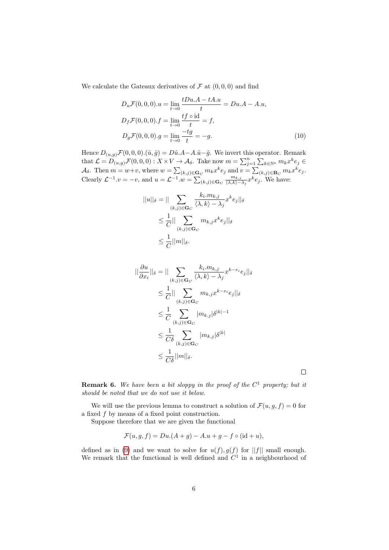We calculate the Gateaux derivatives of  $\mathcal F$  at  $(0,0,0)$  and find

$$
D_u \mathcal{F}(0,0,0).u = \lim_{t \to 0} \frac{tDu.A - tA.u}{t} = Du.A - A.u,D_f \mathcal{F}(0,0,0).f = \lim_{t \to 0} \frac{tf \circ id}{t} = f,D_g \mathcal{F}(0,0,0).g = \lim_{t \to 0} \frac{-tg}{t} = -g.
$$
 (10)

Hence  $D_{(u,g)}\mathcal{F}(0,0,0) \cdot (\hat{u},\hat{g}) = D\hat{u} \cdot A - A\cdot \hat{u} - \hat{g}$ . We invert this operator. Remark that  $\mathcal{L} = D_{(u,g)}^{\dagger} \mathcal{F}(0,0,0) : X \times V \to \mathcal{A}_{\delta}$ . Take now  $m = \sum_{j=1}^{n} \sum_{k \in \mathbb{N}^n} m_k x^k e_j \in$  $\mathcal{A}_{\delta}$ . Then  $m = w+v$ , where  $w = \sum_{(k,j) \in \mathbf{G}_C} m_k x^k e_j$  and  $v = \sum_{(k,j) \in \mathbf{B}_C} m_k x^k e_j$ . Clearly  $\mathcal{L}^{-1}.v = -v$ , and  $u = \mathcal{L}^{-1}.w = \sum_{(k,j) \in \mathbf{G}_C}$  $m_{k,j}$  $\frac{m_{k,j}}{\langle \lambda, k \rangle - \lambda_j} x^k e_j$ . We have:

$$
||u||_{\delta} = || \sum_{(k,j)\in \mathbf{G}_C} \frac{k_i.m_{k,j}}{\langle \lambda, k \rangle - \lambda_j} x^k e_j ||_{\delta}
$$
  

$$
\leq \frac{1}{C} || \sum_{(k,j)\in \mathbf{G}_C} m_{k,j} x^k e_j ||_{\delta}
$$
  

$$
\leq \frac{1}{C} ||m||_{\delta}.
$$

$$
\|\frac{\partial u}{\partial x_i}\|_{\delta} = \|\sum_{(k,j)\in\mathbf{G}_C} \frac{k_i.m_{k,j}}{\langle \lambda, k \rangle - \lambda_j} x^{k-e_i} e_j\|_{\delta}
$$
  
\n
$$
\leq \frac{1}{C} \|\sum_{(k,j)\in\mathbf{G}_C} m_{k,j} x^{k-e_i} e_j\|_{\delta}
$$
  
\n
$$
\leq \frac{1}{C} \sum_{(k,j)\in\mathbf{G}_C} |m_{k,j}| \delta^{|k|-1}
$$
  
\n
$$
\leq \frac{1}{C\delta} \sum_{(k,j)\in\mathbf{G}_C} |m_{k,j}| \delta^{|k|}
$$
  
\n
$$
\leq \frac{1}{C\delta} ||m||_{\delta}.
$$

**Remark 6.** We have been a bit sloppy in the proof of the  $C^1$  property; but it should be noted that we do not use it below.

 $\Box$ 

We will use the previous lemma to construct a solution of  $\mathcal{F}(u, g, f) = 0$  for a fixed  $f$  by means of a fixed point construction.

Suppose therefore that we are given the functional

$$
\mathcal{F}(u, g, f) = Du.(A + g) - A.u + g - f \circ (id + u),
$$

defined as in [\(9\)](#page-4-0) and we want to solve for  $u(f), g(f)$  for  $||f||$  small enough. We remark that the functional is well defined and  $C<sup>1</sup>$  in a neighbourhood of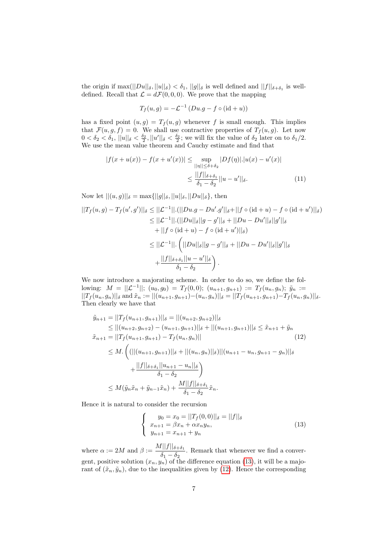the origin if  $\max(||Du||_{\delta}, ||u||_{\delta}) < \delta_1$ ,  $||g||_{\delta}$  is well defined and  $||f||_{\delta+\delta_1}$  is welldefined. Recall that  $\mathcal{L} = d\mathcal{F}(0, 0, 0)$ . We prove that the mapping

<span id="page-6-2"></span>
$$
T_f(u,g) = -\mathcal{L}^{-1} \left( Du.g - f \circ (\mathrm{id} + u) \right)
$$

has a fixed point  $(u, g) = T_f(u, g)$  whenever f is small enough. This implies that  $\mathcal{F}(u, g, f) = 0$ . We shall use contractive properties of  $T_f(u, g)$ . Let now  $0 < \delta_2 < \delta_1$ ,  $||u||_\delta < \frac{\delta_2}{2}$ ,  $||u'||_\delta < \frac{\delta_2}{2}$ ; we will fix the value of  $\delta_2$  later on to  $\delta_1/2$ . We use the mean value theorem and Cauchy estimate and find that

$$
|f(x+u(x)) - f(x+u'(x))| \le \sup_{\|\eta\| \le \delta + \delta_2} |Df(\eta)| \cdot |u(x) - u'(x)|
$$
  

$$
\le \frac{||f||_{\delta + \delta_1}}{\delta_1 - \delta_2} ||u - u'||_{\delta}.
$$
 (11)

Now let  $||(u, g)||_{\delta} = \max{||g||_{\delta}, ||u||_{\delta}, ||Du||_{\delta}}$ , then

$$
||T_f(u,g) - T_f(u',g')||_{\delta} \le ||\mathcal{L}^{-1}||.(||Du.g - Du'.g'||_{\delta} + ||f \circ (\mathrm{id} + u) - f \circ (\mathrm{id} + u')||_{\delta})
$$
  
\n
$$
\le ||\mathcal{L}^{-1}||.(||Du||_{\delta}||g - g'||_{\delta} + ||Du - Du'||_{\delta}||g'||_{\delta}
$$
  
\n
$$
+ ||f \circ (\mathrm{id} + u) - f \circ (\mathrm{id} + u')||_{\delta})
$$
  
\n
$$
\le ||\mathcal{L}^{-1}||. (||Du||_{\delta}||g - g'||_{\delta} + ||Du - Du'||_{\delta}||g'||_{\delta}
$$
  
\n
$$
+ \frac{||f||_{\delta + \delta_1}||u - u'||_{\delta}}{\delta_1 - \delta_2}.
$$

We now introduce a majorating scheme. In order to do so, we define the following:  $M = ||\mathcal{L}^{-1}||$ ;  $(u_0, g_0) = T_f(0,0)$ ;  $(u_{n+1}, g_{n+1}) := T_f(u_n, g_n)$ ;  $\tilde{y}_n :=$  $||T_f(u_n, g_n)||_{\delta}$  and  $\tilde{x}_n := ||(u_{n+1}, g_{n+1})-(u_n, g_n)||_{\delta} = ||T_f(u_{n+1}, g_{n+1})-T_f(u_n, g_n)||_{\delta}.$ Then clearly we have that

$$
\tilde{y}_{n+1} = ||T_f(u_{n+1}, g_{n+1})||_{\delta} = ||(u_{n+2}, g_{n+2})||_{\delta}
$$
\n
$$
\leq ||(u_{n+2}, g_{n+2}) - (u_{n+1}, g_{n+1})||_{\delta} + ||(u_{n+1}, g_{n+1})||_{\delta} \leq \tilde{x}_{n+1} + \tilde{y}_n
$$
\n
$$
\tilde{x}_{n+1} = ||T_f(u_{n+1}, g_{n+1}) - T_f(u_n, g_n)||
$$
\n
$$
\leq M. \left( (||(u_{n+1}, g_{n+1})||_{\delta} + ||(u_n, g_n)||_{\delta})||(u_{n+1} - u_n, g_{n+1} - g_n)||_{\delta} + \frac{||f||_{\delta + \delta_1}||u_{n+1} - u_n||_{\delta}}{\delta_1 - \delta_2} \right)
$$
\n
$$
\leq M(\tilde{y}_n \tilde{x}_n + \tilde{y}_{n-1} \tilde{x}_n) + \frac{M||f||_{\delta + \delta_1}}{\delta_1 - \delta_2} \tilde{x}_n.
$$
\n(12)

Hence it is natural to consider the recursion

<span id="page-6-1"></span><span id="page-6-0"></span>
$$
\begin{cases}\n y_0 = x_0 = ||T_f(0,0)||_\delta = ||f||_\delta \\
 x_{n+1} = \beta x_n + \alpha x_n y_n, \\
 y_{n+1} = x_{n+1} + y_n\n\end{cases}
$$
\n(13)

where  $\alpha := 2M$  and  $\beta := \frac{M||f||_{\delta + \delta_1}}{s}$  $\frac{\delta_1 - \delta_2}{\delta_1 - \delta_2}$ . Remark that whenever we find a convergent, positive solution  $(x_n, y_n)$  of the difference equation [\(13\)](#page-6-0), it will be a majorant of  $(\tilde{x}_n, \tilde{y}_n)$ , due to the inequalities given by [\(12\)](#page-6-1). Hence the corresponding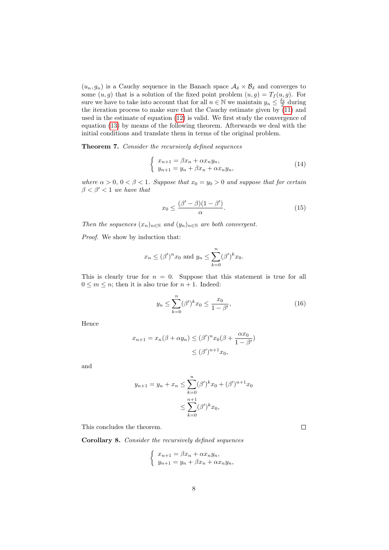$(u_n, g_n)$  is a Cauchy sequence in the Banach space  $\mathcal{A}_{\delta} \times \mathcal{B}_{\delta}$  and converges to some  $(u, g)$  that is a solution of the fixed point problem  $(u, g) = T_f(u, g)$ . For sure we have to take into account that for all  $n \in \mathbb{N}$  we maintain  $y_n \leq \frac{\delta_2}{2}$  during the iteration process to make sure that the Cauchy estimate given by  $(11)$  and used in the estimate of equation [\(12\)](#page-6-1) is valid. We first study the convergence of equation [\(13\)](#page-6-0) by means of the following theorem. Afterwards we deal with the initial conditions and translate them in terms of the original problem.

Theorem 7. Consider the recursively defined sequences

$$
\begin{cases}\n x_{n+1} = \beta x_n + \alpha x_n y_n, \\
 y_{n+1} = y_n + \beta x_n + \alpha x_n y_n,\n\end{cases}
$$
\n(14)

where  $\alpha > 0$ ,  $0 < \beta < 1$ . Suppose that  $x_0 = y_0 > 0$  and suppose that for certain  $\beta < \beta' < 1$  we have that

<span id="page-7-0"></span>
$$
x_0 \le \frac{(\beta' - \beta)(1 - \beta')}{\alpha}.\tag{15}
$$

Then the sequences  $(x_n)_{n\in\mathbb{N}}$  and  $(y_n)_{n\in\mathbb{N}}$  are both convergent.

Proof. We show by induction that:

$$
x_n \le (\beta')^n x_0 \text{ and } y_n \le \sum_{k=0}^n (\beta')^k x_0.
$$

This is clearly true for  $n = 0$ . Suppose that this statement is true for all  $0 \leq m \leq n$ ; then it is also true for  $n + 1$ . Indeed:

$$
y_n \le \sum_{k=0}^n (\beta')^k x_0 \le \frac{x_0}{1 - \beta'},\tag{16}
$$

Hence

$$
x_{n+1} = x_n(\beta + \alpha y_n) \le (\beta')^n x_0(\beta + \frac{\alpha x_0}{1 - \beta'})
$$
  

$$
\le (\beta')^{n+1} x_0,
$$

and

$$
y_{n+1} = y_n + x_n \le \sum_{k=0}^n (\beta')^k x_0 + (\beta')^{n+1} x_0
$$
  

$$
\le \sum_{k=0}^{n+1} (\beta')^k x_0,
$$

This concludes the theorem.

<span id="page-7-2"></span>Corollary 8. Consider the recursively defined sequences

$$
\begin{cases}\nx_{n+1} = \beta x_n + \alpha x_n y_n, \\
y_{n+1} = y_n + \beta x_n + \alpha x_n y_n,\n\end{cases}
$$

<span id="page-7-1"></span> $\Box$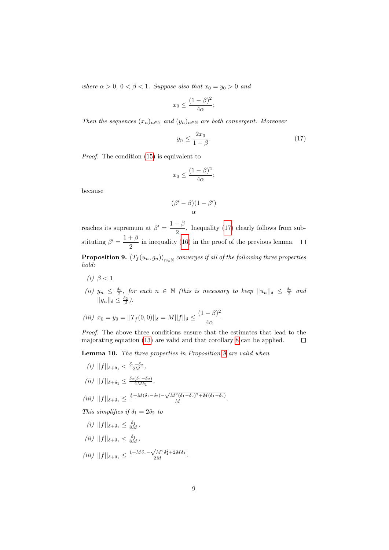where  $\alpha > 0$ ,  $0 < \beta < 1$ . Suppose also that  $x_0 = y_0 > 0$  and

$$
x_0 \le \frac{(1-\beta)^2}{4\alpha};
$$

Then the sequences  $(x_n)_{n\in\mathbb{N}}$  and  $(y_n)_{n\in\mathbb{N}}$  are both convergent. Moreover

<span id="page-8-0"></span>
$$
y_n \le \frac{2x_0}{1 - \beta}.\tag{17}
$$

Proof. The condition  $(15)$  is equivalent to

$$
x_0 \le \frac{(1-\beta)^2}{4\alpha};
$$

because

$$
\frac{(\beta'-\beta)(1-\beta')}{\alpha}
$$

reaches its supremum at  $\beta' = \frac{1+\beta}{2}$  $\frac{1}{2}$ . Inequality [\(17\)](#page-8-0) clearly follows from substituting  $\beta' = \frac{1+\beta}{2}$  $\frac{1}{2}$  in inequality [\(16\)](#page-7-1) in the proof of the previous lemma.

<span id="page-8-1"></span>**Proposition 9.**  $\left( T_f(u_n, g_n) \right)_{n \in \mathbb{N}}$  converges if all of the following three properties hold:

- (i)  $\beta < 1$
- (ii)  $y_n \leq \frac{\delta_2}{2}$ , for each  $n \in \mathbb{N}$  (this is necessary to keep  $||u_n||_{\delta} \leq \frac{\delta_2}{2}$  and  $||g_n||_{\delta} \leq \frac{\delta_2}{2}$ .

(iii) 
$$
x_0 = y_0 = ||T_f(0,0)||_{\delta} = M||f||_{\delta} \le \frac{(1-\beta)^2}{4\alpha}
$$

Proof. The above three conditions ensure that the estimates that lead to the majorating equation [\(13\)](#page-6-0) are valid and that corollary [8](#page-7-2) can be applied.  $\Box$ 

<span id="page-8-2"></span>Lemma 10. The three properties in Proposition [9](#page-8-1) are valid when

- (i)  $||f||_{\delta + \delta_1} < \frac{\delta_1 \delta_2}{2M}$ ,
- (ii)  $||f||_{\delta+\delta_1} \leq \frac{\delta_2(\delta_1-\delta_2)}{4M\delta_1}$  $\frac{(o_1-o_2)}{4M\delta_1},$

$$
(iii) \ \||f||_{\delta+\delta_1} \leq \frac{\frac{1}{2} + M(\delta_1 - \delta_2) - \sqrt{M^2(\delta_1 - \delta_2)^2 + M(\delta_1 - \delta_2)}}{M}.
$$

This simplifies if  $\delta_1 = 2\delta_2$  to

$$
(i) \t||f||_{\delta + \delta_1} \leq \frac{\delta_1}{8M},
$$

(*ii*)  $||f||_{\delta + \delta_1} < \frac{\delta_1}{8M}$ ,

$$
(iii) \ \||f||_{\delta+\delta_1} \leq \frac{1+M\delta_1 - \sqrt{M^2\delta_1^2 + 2M\delta_1}}{2M}.
$$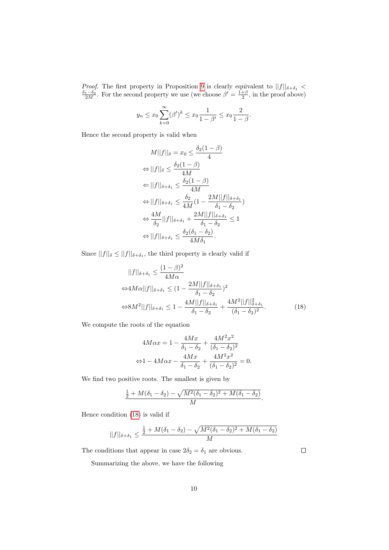*Proof.* The first property in Proposition [9](#page-8-1) is clearly equivalent to  $||f||_{\delta+\delta_1} < \frac{\delta_1-\delta_2}{2M}$ . For the second property we use (we choose  $\beta' = \frac{1+\beta}{2}$ , in the proof above)

$$
y_n \le x_0 \sum_{k=0}^{\infty} (\beta')^k \le x_0 \frac{1}{1 - \beta'} \le x_0 \frac{2}{1 - \beta}.
$$

Hence the second property is valid when

$$
M||f||_{\delta} = x_0 \leq \frac{\delta_2(1-\beta)}{4}
$$
  
\n
$$
\Leftrightarrow ||f||_{\delta} \leq \frac{\delta_2(1-\beta)}{4M}
$$
  
\n
$$
\Leftrightarrow ||f||_{\delta+\delta_1} \leq \frac{\delta_2(1-\beta)}{4M}
$$
  
\n
$$
\Leftrightarrow ||f||_{\delta+\delta_1} \leq \frac{\delta_2}{4M}(1 - \frac{2M||f||_{\delta+\delta_1}}{\delta_1 - \delta_2})
$$
  
\n
$$
\Leftrightarrow \frac{4M}{\delta_2}||f||_{\delta+\delta_1} + \frac{2M||f||_{\delta+\delta_1}}{\delta_1 - \delta_2} \leq 1
$$
  
\n
$$
\Leftrightarrow ||f||_{\delta+\delta_1} \leq \frac{\delta_2(\delta_1 - \delta_2)}{4M\delta_1}.
$$

Since  $||f||_{\delta} \leq ||f||_{\delta+\delta_1}$ , the third property is clearly valid if

$$
||f||_{\delta+\delta_1} \le \frac{(1-\beta)^2}{4M\alpha}
$$
  
\n
$$
\Leftrightarrow 4M\alpha||f||_{\delta+\delta_1} \le (1 - \frac{2M||f||_{\delta+\delta_1}}{\delta_1 - \delta_2})^2
$$
  
\n
$$
\Leftrightarrow 8M^2||f||_{\delta+\delta_1} \le 1 - \frac{4M||f||_{\delta+\delta_1}}{\delta_1 - \delta_2} + \frac{4M^2||f||_{\delta+\delta_1}^2}{(\delta_1 - \delta_2)^2}.
$$
 (18)

We compute the roots of the equation

$$
4M\alpha x = 1 - \frac{4Mx}{\delta_1 - \delta_2} + \frac{4M^2x^2}{(\delta_1 - \delta_2)^2}
$$

$$
\Leftrightarrow 1 - 4M\alpha x - \frac{4Mx}{\delta_1 - \delta_2} + \frac{4M^2x^2}{(\delta_1 - \delta_2)^2} = 0.
$$

We find two positive roots. The smallest is given by

$$
\frac{\frac{1}{2}+M(\delta_1-\delta_2)-\sqrt{M^2(\delta_1-\delta_2)^2+M(\delta_1-\delta_2)}}{M}.
$$

Hence condition [\(18\)](#page-9-0) is valid if

$$
||f||_{\delta + \delta_1} \le \frac{\frac{1}{2} + M(\delta_1 - \delta_2) - \sqrt{M^2(\delta_1 - \delta_2)^2 + M(\delta_1 - \delta_2)}}{M}
$$

The conditions that appear in case  $2\delta_2 = \delta_1$  are obvious.

Summarizing the above, we have the following

<span id="page-9-0"></span> $\Box$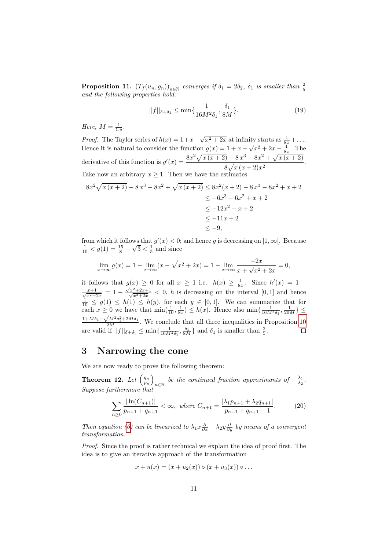<span id="page-10-1"></span>**Proposition 11.**  $(T_f(u_n, g_n))_{n \in \mathbb{N}}$  converges if  $\delta_1 = 2\delta_2$ ,  $\delta_1$  is smaller than  $\frac{2}{5}$  and the following properties hold:

<span id="page-10-2"></span>
$$
||f||_{\delta + \delta_1} \le \min\{\frac{1}{16M^2\delta_1}, \frac{\delta_1}{8M}\}.
$$
 (19)

Here,  $M = \frac{1}{C\delta}$ .

*Proof.* The Taylor series of  $h(x) = 1+x$ √  $\sqrt{x^2 + 2x}$  at infinity starts as  $\frac{1}{8x} + \ldots$ Hence it is natural to consider the function  $g(x) = 1 + x -$ ⊥∪.<br>∖  $\sqrt{x^2 + 2x} - \frac{1}{8x}$ . The derivative of this function is  $g'(x) = \frac{8x^2\sqrt{x(x+2)} - 8x^3 - 8x^2 + \sqrt{x(x+2)}}{2}$  $\frac{8\sqrt{x(x+2)}x^2}{8\sqrt{x(x+2)}x^2}$ . Take now an arbitrary  $x \geq 1$ . Then we have the estimates

$$
8x^{2}\sqrt{x(x+2)} - 8x^{3} - 8x^{2} + \sqrt{x(x+2)} \le 8x^{2}(x+2) - 8x^{3} - 8x^{2} + x + 2
$$
  
\n
$$
\le -6x^{3} - 6x^{2} + x + 2
$$
  
\n
$$
\le -12x^{2} + x + 2
$$
  
\n
$$
\le -11x + 2
$$
  
\n
$$
\le -9,
$$

from which it follows that  $g'(x) < 0$ ; and hence g is decreasing on [1,  $\infty$ [. Because  $\frac{1}{10}$  <  $g(1) = \frac{15}{8} - \sqrt{3} < \frac{1}{5}$  and since

$$
\lim_{x \to \infty} g(x) = 1 - \lim_{x \to \infty} (x - \sqrt{x^2 + 2x}) = 1 - \lim_{x \to \infty} \frac{-2x}{x + \sqrt{x^2 + 2x}} = 0,
$$

it follows that  $g(x) \geq 0$  for all  $x \geq 1$  i.e.  $h(x) \geq \frac{1}{8x}$ . Since  $h'(x) = 1$  $\frac{x+1}{\sqrt{x^2+2x}} = 1 - \frac{\sqrt{x^2+2x+1}}{\sqrt{x^2+2x}} < 0$ , h is decreasing on the interval [0, 1] and hence  $\frac{1}{10} \leq g(1) \leq h(1) \leq h(y)$ , for each  $y \in [0,1]$ . We can summarize that for each  $x \ge 0$  we have that  $\min(\frac{1}{10}, \frac{1}{8x}) \le h(x)$ . Hence also  $\min\{\frac{1}{16M^2\delta_1}, \frac{1}{20M}\}\le$  $\frac{1+M\delta_1-\sqrt{M^2\delta_1^2+2M\delta_1}}{2M}$ . We conclude that all three inequalities in Proposition [10](#page-8-2) are valid if  $||f||_{\delta+\delta_1} \leq \min\{\frac{1}{16M^2\delta_1}, \frac{\delta_1}{8M}\}\$ and  $\delta_1$  is smaller than  $\frac{2}{5}$ .

#### <span id="page-10-0"></span>3 Narrowing the cone

We are now ready to prove the following theorem:

<span id="page-10-3"></span>Theorem 12. Let  $\left(\frac{q_n}{p_n}\right)$ be the continued fraction approximants of  $-\frac{\lambda_1}{\lambda_2}$ . Suppose furthermore that

$$
\sum_{n\geq 0} \frac{|\ln(C_{n+1})|}{p_{n+1} + q_{n+1}} < \infty, \text{ where } C_{n+1} = \frac{|\lambda_1 p_{n+1} + \lambda_2 q_{n+1}|}{p_{n+1} + q_{n+1} + 1}.
$$
 (20)

Then equation [\(6\)](#page-3-1) can be linearized to  $\lambda_1 x \frac{\partial}{\partial x} + \lambda_2 y \frac{\partial}{\partial y}$  by means of a convergent transformation.

Proof. Since the proof is rather technical we explain the idea of proof first. The idea is to give an iterative approach of the transformation

<span id="page-10-4"></span>
$$
x + u(x) = (x + u_2(x)) \circ (x + u_3(x)) \circ \dots
$$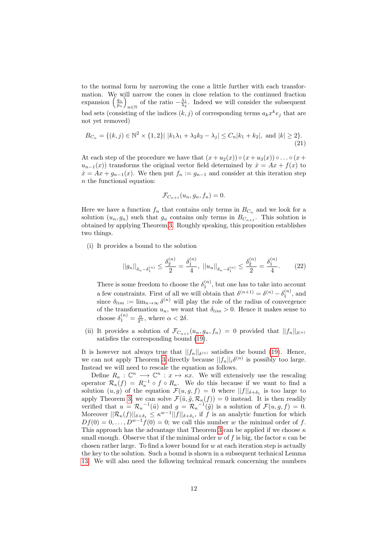to the normal form by narrowing the cone a little further with each transformation. We will narrow the cones in close relation to the continued fraction expansion  $\left(\frac{q_n}{p_n}\right)$ of the ratio  $-\frac{\lambda_1}{\lambda_2}$ . Indeed we will consider the subsequent bad sets (consisting of the indices  $(k, j)$  of corresponding terms  $a_k x^k e_j$  that are not yet removed)

$$
B_{C_n} = \{(k, j) \in \mathbb{N}^2 \times \{1, 2\} | |k_1 \lambda_1 + \lambda_2 k_2 - \lambda_j| \le C_n |k_1 + k_2|, \text{ and } |k| \ge 2\}.
$$
\n(21)

At each step of the procedure we have that  $(x + u_2(x)) \circ (x + u_3(x)) \circ ... \circ (x +$  $u_{n-1}(x)$  transforms the original vector field determined by  $\dot{x} = Ax + f(x)$  to  $\dot{x} = Ax + g_{n-1}(x)$ . We then put  $f_n := g_{n-1}$  and consider at this iteration step n the functional equation:

$$
\mathcal{F}_{C_{n+1}}(u_n, g_n, f_n) = 0.
$$

Here we have a function  $f_n$  that contains only terms in  $B_{C_n}$  and we look for a solution  $(u_n, g_n)$  such that  $g_n$  contains only terms in  $B_{C_{n+1}}$ . This solution is obtained by applying Theorem [3.](#page-3-4) Roughly speaking, this proposition establishes two things.

(i) It provides a bound to the solution

$$
||g_n||_{\delta_n - \delta_1^{(n)}} \le \frac{\delta_2^{(n)}}{2} = \frac{\delta_1^{(n)}}{4}, \ ||u_n||_{\delta_n - \delta_1^{(n)}} \le \frac{\delta_2^{(n)}}{2} = \frac{\delta_1^{(n)}}{4}.
$$
 (22)

There is some freedom to choose the  $\delta_1^{(n)}$ , but one has to take into account a few constraints. First of all we will obtain that  $\delta^{(n+1)} = \delta^{(n)} - \delta_1^{(n)}$ , and since  $\delta_{lim} := \lim_{n \to \infty} \delta^{(n)}$  will play the role of the radius of convergence of the transformation  $u_n$ , we want that  $\delta_{lim} > 0$ . Hence it makes sense to choose  $\delta_1^{(n)} = \frac{\alpha}{2^n}$ , where  $\alpha < 2\delta$ .

(ii) It provides a solution of  $\mathcal{F}_{C_{n+1}}(u_n, g_n, f_n) = 0$  provided that  $||f_n||_{\delta^{(n)}}$ satisfies the corresponding bound [\(19\)](#page-10-2).

It is however not always true that  $||f_n||_{\delta^{(n)}}$  satisfies the bound [\(19\)](#page-10-2). Hence, we can not apply Theorem [3](#page-3-4) directly because  $||f_n||_i \delta^{(n)}$  is possibly too large. Instead we will need to rescale the equation as follows.

Define  $R_{\kappa}: \mathbb{C}^n \longrightarrow \mathbb{C}^n : x \mapsto \kappa x$ . We will extensively use the rescaling operator  $\mathcal{R}_{\kappa}(f) = R_{\kappa}^{-1} \circ f \circ R_{\kappa}$ . We do this because if we want to find a solution  $(u, g)$  of the equation  $\mathcal{F}(u, g, f) = 0$  where  $||f||_{\delta + \delta_1}$  is too large to apply Theorem [3,](#page-3-4) we can solve  $\mathcal{F}(\tilde{u}, \tilde{g}, \mathcal{R}_{\kappa}(f)) = 0$  instead. It is then readily verified that  $u = \mathcal{R}_{\kappa}^{-1}(\tilde{u})$  and  $g = \mathcal{R}_{\kappa}^{-1}(\tilde{g})$  is a solution of  $\mathcal{F}(u, g, f) = 0$ . Moreover  $||\mathcal{R}_{\kappa}(f)||_{\delta+\delta_1} \leq \kappa^{w-1}||f||_{\delta+\delta_1}$ , if f is an analytic function for which  $Df(0) = 0, \ldots, D^{w-1}f(0) = 0$ ; we call this number w the minimal order of f. This approach has the advantage that Theorem [3](#page-3-4) can be applied if we choose  $\kappa$ small enough. Observe that if the minimal order w of f is big, the factor  $\kappa$  can be chosen rather large. To find a lower bound for  $w$  at each iteration step is actually the key to the solution. Such a bound is shown in a subsequent technical Lemma [13.](#page-14-0) We will also need the following technical remark concerning the numbers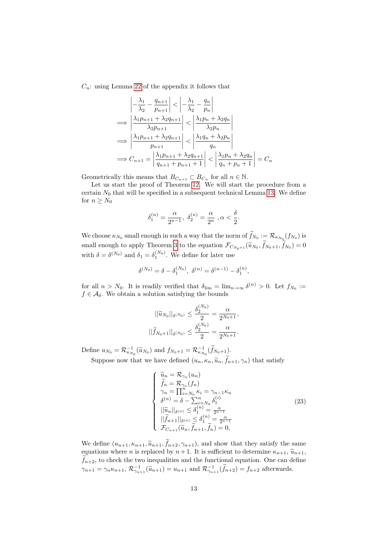$C_n$ : using Lemma [22](#page-21-0) of the appendix it follows that

$$
\left| -\frac{\lambda_1}{\lambda_2} - \frac{q_{n+1}}{p_{n+1}} \right| < \left| -\frac{\lambda_1}{\lambda_2} - \frac{q_n}{p_n} \right|
$$
\n
$$
\implies \left| \frac{\lambda_1 p_{n+1} + \lambda_2 q_{n+1}}{\lambda_2 p_{n+1}} \right| < \left| \frac{\lambda_1 p_n + \lambda_2 q_n}{\lambda_2 p_n} \right|
$$
\n
$$
\implies \left| \frac{\lambda_1 p_{n+1} + \lambda_2 q_{n+1}}{p_{n+1}} \right| < \left| \frac{\lambda_1 q_n + \lambda_2 p_n}{q_n} \right|
$$
\n
$$
\implies C_{n+1} = \left| \frac{\lambda_1 p_{n+1} + \lambda_2 q_{n+1}}{q_{n+1} + p_{n+1} + 1} \right| < \left| \frac{\lambda_1 p_n + \lambda_2 q_n}{q_n + p_n + 1} \right| = C_n
$$

Geometrically this means that  $B_{C_{n+1}} \subset B_{C_n}$  for all  $n \in \mathbb{N}$ .

Let us start the proof of Theorem [12.](#page-10-3) We will start the procedure from a certain  $N_0$  that will be specified in a subsequent technical Lemma [13.](#page-14-0) We define for  $n \geq N_0$ 

$$
\delta_1^{(n)} = \frac{\alpha}{2^{n-1}}, \ \delta_2^{(n)} = \frac{\alpha}{2^n}, \alpha < \frac{\delta}{2}.
$$

We choose  $\kappa_{N_0}$  small enough in such a way that the norm of  $f_{N_0} := \mathcal{R}_{\kappa_{N_0}}(f_{N_0})$  is small enough to apply Theorem [3](#page-3-4) to the equation  $\mathcal{F}_{C_{N_0+1}}(\tilde{u}_{N_0}, f_{N_0+1}, f_{N_0}) = 0$ with  $\delta = \delta^{(N_0)}$  and  $\delta_1 = \delta_1^{(N_0)}$ . We define for later use

$$
\delta^{(N_0)} = \delta - \delta_1^{(N_0)}, \ \delta^{(n)} = \delta^{(n-1)} - \delta_1^{(n)},
$$

for all  $n > N_0$ . It is readily verified that  $\delta_{\lim} = \lim_{n \to \infty} \delta^{(n)} > 0$ . Let  $f_{N_0} :=$  $f \in \mathcal{A}_{\delta}$ . We obtain a solution satisfying the bounds

$$
||\widetilde{u}_{N_0}||_{\delta^{(N_0)}} \le \frac{\delta_2^{(N_0)}}{2} = \frac{\alpha}{2^{N_0+1}},
$$
  

$$
||\widetilde{f}_{N_0+1}||_{\delta^{(N_0)}} \le \frac{\delta_2^{(N_0)}}{2} = \frac{\alpha}{2^{N_0+1}}.
$$

Define  $u_{N_0} = \mathcal{R}_{\kappa_{N_0}}^{-1}(\widetilde{u}_{N_0})$  and  $f_{N_0+1} = \mathcal{R}_{\kappa_{N_0}}^{-1}(\widetilde{f}_{N_0+1})$ .

Suppose now that we have defined  $(u_n, \kappa_n, \tilde{u}_n, \tilde{f}_{n+1}, \gamma_n)$  that satisfy

$$
\begin{cases}\n\widetilde{u}_n = \mathcal{R}_{\gamma_n}(u_n) \\
\widetilde{f}_n = \mathcal{R}_{\gamma_n}(f_n) \\
\gamma_n = \prod_{i=N_0}^{n} \kappa_i = \gamma_{n-1}\kappa_n \\
\delta^{(n)} = \delta - \sum_{i=N_0}^{n} \delta_1^{(i)} \\
||\widetilde{u}_n||_{\delta^{(n)}} \le \delta_1^{(n)} = \frac{\alpha}{2^{n-1}} \\
||\widetilde{f}_{n+1}||_{\delta^{(n)}} \le \delta_1^{(n)} = \frac{\alpha}{2^{n-1}} \\
\mathcal{F}_{C_{n+1}}(\widetilde{u}_n, \widetilde{f}_{n+1}, \widetilde{f}_n) = 0,\n\end{cases}
$$
\n(23)

We define  $(u_{n+1}, \kappa_{n+1}, \widetilde{u}_{n+1}, \widetilde{f}_{n+2}, \gamma_{n+1}),$  and show that they satisfy the same equations where *n* is replaced by  $n + 1$ . It is sufficient to determine  $\kappa_{n+1}$ ,  $\tilde{u}_{n+1}$ ,  $\tilde{f}_{n+2}$ , to check the two inequalities and the functional equation. One can define  $\gamma_{n+1} = \gamma_n \kappa_{n+1}, \mathcal{R}_{\gamma_{n+1}}^{-1}(\widetilde{u}_{n+1}) = u_{n+1}$  and  $\mathcal{R}_{\gamma_{n+1}}^{-1}(\widetilde{f}_{n+2}) = f_{n+2}$  afterwards.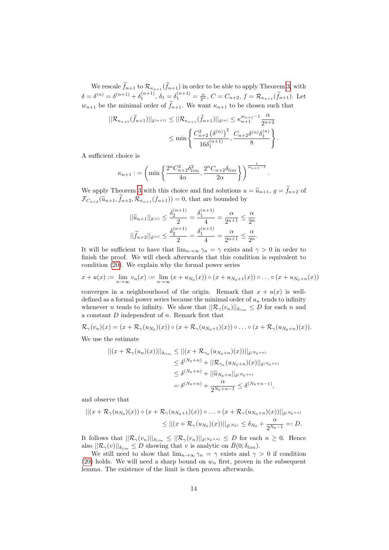We rescale  $f_{n+1}$  to  $\mathcal{R}_{\kappa_{n+1}}(f_{n+1})$  in order to be able to apply Theorem [3,](#page-3-4) with  $\delta = \delta^{(n)} = \delta^{(n+1)} + \delta_1^{(n+1)}, \ \delta_1 = \delta_1^{(n+1)} = \frac{\alpha}{2^n}, \ C = C_{n+2}, \ f = \mathcal{R}_{\kappa_{n+1}}(\tilde{f}_{n+1}).$  Let  $w_{n+1}$  be the minimal order of  $\tilde{f}_{n+1}$ . We want  $\kappa_{n+1}$  to be chosen such that

$$
||\mathcal{R}_{\kappa_{n+1}}(\tilde{f}_{n+1})||_{\delta^{(n+1)}} \leq ||\mathcal{R}_{\kappa_{n+1}}(\tilde{f}_{n+1})||_{\delta^{(n)}} \leq \kappa_{n+1}^{w_{n+1}-1} \frac{\alpha}{2^{n+2}} \leq \min \left\{ \frac{C_{n+2}^2 (\delta^{(n)})^2}{16\delta_1^{(n+1)}}, \frac{C_{n+2}\delta^{(n)}\delta_1^{(n)}}{8} \right\}.
$$

A sufficient choice is

$$
\kappa_{n+1} := \left(\min\left\{\frac{2^n C_{n+2}^2 \delta_{\lim}^2}{4\alpha}, \frac{2^n C_{n+2} \delta_{\lim}}{2\alpha}\right\}\right)^{\frac{1}{w_{n+1}-1}}
$$

.

We apply Theorem [3](#page-3-4) with this choice and find solutions  $u = \tilde{u}_{n+1}$ ,  $g = \tilde{f}_{n+2}$  of  $\widetilde{\mathcal{F}}_{C_{n+2}}(\widetilde{u}_{n+1}, \widetilde{f}_{n+2}, \mathcal{R}_{\kappa_{n+1}}(f_{n+1})) = 0$ , that are bounded by

$$
||\widetilde{u}_{n+1}||_{\delta^{(n)}} \le \frac{\delta_2^{(n+1)}}{2} = \frac{\delta_1^{(n+1)}}{4} = \frac{\alpha}{2^{n+1}} \le \frac{\alpha}{2^n}
$$

$$
||\widetilde{f}_{n+2}||_{\delta^{(n)}} \le \frac{\delta_2^{(n+1)}}{2} = \frac{\delta_1^{(n+1)}}{4} = \frac{\alpha}{2^{n+1}} \le \frac{\alpha}{2^n}.
$$

It will be sufficient to have that  $\lim_{n\to\infty}\gamma_n = \gamma$  exists and  $\gamma > 0$  in order to finish the proof. We will check afterwards that this condition is equivalent to condition [\(20\)](#page-10-4). We explain why the formal power series

$$
x + u(x) := \lim_{n \to \infty} v_n(x) := \lim_{n \to \infty} (x + u_{N_0}(x)) \circ (x + u_{N_0+1}(x)) \circ \dots \circ (x + u_{N_0+n}(x))
$$

converges in a neighbourhood of the origin. Remark that  $x + u(x)$  is welldefined as a formal power series because the minimal order of  $u_n$  tends to infinity whenever *n* tends to infinity. We show that  $||\mathcal{R}_{\gamma}(v_n)||_{\delta_{lim}} \leq D$  for each *n* and a constant  $D$  independent of  $n$ . Remark first that

$$
\mathcal{R}_{\gamma}(v_n)(x)=(x+\mathcal{R}_{\gamma}(u_{N_0})(x))\circ (x+\mathcal{R}_{\gamma}(u_{N_0+1})(x))\circ \ldots \circ (x+\mathcal{R}_{\gamma}(u_{N_0+n})(x)).
$$

We use the estimate

$$
||(x + \mathcal{R}_{\gamma}(u_n)(x))||_{\delta_{\lim}} \le ||(x + \mathcal{R}_{\gamma_n}(u_{N_0+n})(x))||_{\delta^{(N_0+n)}}
$$
  
\n
$$
\le \delta^{(N_0+n)} + ||\mathcal{R}_{\gamma_n}(u_{N_0+n})(x)||_{\delta^{(N_0+n)}}
$$
  
\n
$$
\le \delta^{(N_0+n)} + ||\widetilde{u}_{N_0+n}||_{\delta^{(N_0+n)}}
$$
  
\n
$$
= \delta^{(N_0+n)} + \frac{\alpha}{2^{N_0+n-1}} \le \delta^{(N_0+n-1)},
$$

and observe that

$$
||(x + \mathcal{R}_{\gamma}(u_{N_0})(x)) \circ (x + \mathcal{R}_{\gamma}(u_{N_0+1})(x)) \circ \dots \circ (x + \mathcal{R}_{\gamma}(u_{N_0+n})(x))||_{\delta^{(N_0+n)}} \leq ||(x + \mathcal{R}_{\gamma}(u_{N_0})(x))||_{\delta^{(N_0)}} \leq \delta_{N_0} + \frac{\alpha}{2^{N_0-1}} =: D.
$$

It follows that  $||\mathcal{R}_{\gamma}(v_n)||_{\delta_{lim}} \leq ||\mathcal{R}_{\gamma}(v_n)||_{\delta^{(N_0+n)}} \leq D$  for each  $n \geq 0$ . Hence also  $||\mathcal{R}_{\gamma}(v)||_{\delta_{lim}} \leq D$  showing that v is analytic on  $\bar{B}(0;\delta_{lim}).$ 

We still need to show that  $\lim_{n\to\infty}\gamma_n = \gamma$  exists and  $\gamma > 0$  if condition [\(20\)](#page-10-4) holds. We will need a sharp bound on  $w_n$  first, proven in the subsequent lemma. The existence of the limit is then proven afterwards.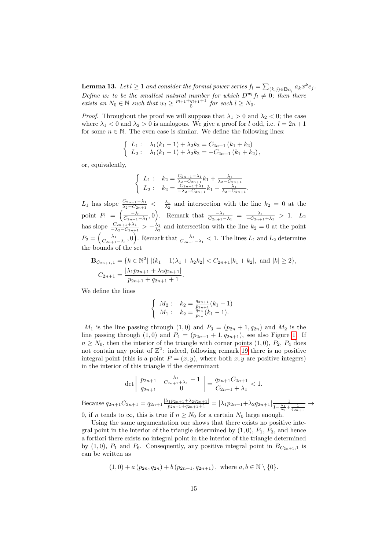<span id="page-14-0"></span>**Lemma 13.** Let  $l \geq 1$  and consider the formal power series  $f_l = \sum_{(k,j) \in \mathbf{B}_{C_l}} a_k x^k e_j$ . Define  $w_l$  to be the smallest natural number for which  $D^{w_l}f_l \neq 0$ ; then there exists an  $N_0 \in \mathbb{N}$  such that  $w_l \geq \frac{p_{l+1}+q_{l+1}+1}{5}$  for each  $l \geq N_0$ .

*Proof.* Throughout the proof we will suppose that  $\lambda_1 > 0$  and  $\lambda_2 < 0$ ; the case where  $\lambda_1 < 0$  and  $\lambda_2 > 0$  is analogous. We give a proof for l odd, i.e.  $l = 2n + 1$ for some  $n \in \mathbb{N}$ . The even case is similar. We define the following lines:

$$
\begin{cases}\nL_1: \quad \lambda_1(k_1-1) + \lambda_2 k_2 = C_{2n+1} (k_1 + k_2) \\
L_2: \quad \lambda_1(k_1-1) + \lambda_2 k_2 = -C_{2n+1} (k_1 + k_2),\n\end{cases}
$$

or, equivalently,

$$
\begin{cases}\nL_1: \quad k_2 = \frac{C_{2n+1} - \lambda_1}{\lambda_2 - C_{2n+1}} k_1 + \frac{\lambda_1}{\lambda_2 - C_{2n+1}} \\
L_2: \quad k_2 = \frac{C_{2n+1} + \lambda_1}{-\lambda_2 - C_{2n+1}} k_1 - \frac{\lambda_1}{\lambda_2 - C_{2n+1}}.\n\end{cases}
$$

 $L_1$  has slope  $\frac{C_{2n+1}-\lambda_1}{\lambda_2-C_{2n+1}}<-\frac{\lambda_1}{\lambda_2}$  and intersection with the line  $k_2=0$  at the point  $P_1 = \left(\frac{-\lambda_1}{C_{2n+1}-\lambda_1}, 0\right)$ . Remark that  $\frac{-\lambda_1}{C_{2n+1}-\lambda_1} = \frac{\lambda_1}{-C_{2n+1}+\lambda_1} > 1$ .  $L_2$ has slope  $\frac{C_{2n+1}+\lambda_1}{-\lambda_2-C_{2n+1}} > -\frac{\lambda_1}{\lambda_2}$  and intersection with the line  $k_2 = 0$  at the point  $P_2 = \left(\frac{\lambda_1}{C_{2n+1}-\lambda_1},0\right)$ . Remark that  $\frac{\lambda_1}{C_{2n+1}-\lambda_1} < 1$ . The lines  $L_1$  and  $L_2$  determine the bounds of the set

$$
\mathbf{B}_{C_{2n+1},1} = \{k \in \mathbb{N}^2 \mid |(k_1 - 1)\lambda_1 + \lambda_2 k_2| < C_{2n+1}|k_1 + k_2|, \text{ and } |k| \ge 2\},
$$
\n
$$
C_{2n+1} = \frac{|\lambda_1 p_{2n+1} + \lambda_2 q_{2n+1}|}{p_{2n+1} + q_{2n+1} + 1}.
$$

We define the lines

$$
\begin{cases}\nM_2: & k_2 = \frac{q_{2n+1}}{p_{2n+1}}(k_1 - 1) \\
M_1: & k_2 = \frac{q_{2n}}{p_{2n}}(k_1 - 1).\n\end{cases}
$$

 $M_1$  is the line passing through  $(1,0)$  and  $P_3 = (p_{2n} + 1, q_{2n})$  and  $M_2$  is the line passing through  $(1,0)$  and  $P_4 = (p_{2n+1} + 1, q_{2n+1})$ , see also Figure [1.](#page-15-0) If  $n \geq N_0$ , then the interior of the triangle with corner points  $(1,0)$ ,  $P_2$ ,  $P_4$  does not contain any point of  $\mathbb{Z}^2$ : indeed, following remark [19](#page-20-0) there is no positive integral point (this is a point  $P = (x, y)$ , where both  $x, y$  are positive integers) in the interior of this triangle if the determinant

$$
\det \begin{vmatrix} p_{2n+1} & \frac{\lambda_1}{C_{2n+1} + \lambda_1} - 1 \\ q_{2n+1} & 0 \end{vmatrix} = \frac{q_{2n+1} C_{2n+1}}{C_{2n+1} + \lambda_1} < 1.
$$

Because  $q_{2n+1}C_{2n+1} = q_{2n+1} \frac{|\lambda_1 p_{2n+1} + \lambda_2 q_{2n+1}|}{p_{2n+1} + q_{2n+1}+1} = |\lambda_1 p_{2n+1} + \lambda_2 q_{2n+1}| \frac{1}{1 - \frac{\lambda_1}{\lambda_1}}$  $1-\frac{\lambda_1}{\lambda_2}+\frac{1}{q_{2n+1}}$  $\rightarrow$ 0, if n tends to  $\infty$ , this is true if  $n \geq N_0$  for a certain  $N_0$  large enough.

Using the same argumentation one shows that there exists no positive integral point in the interior of the triangle determined by  $(1, 0)$ ,  $P_1$ ,  $P_3$ , and hence a fortiori there exists no integral point in the interior of the triangle determined by  $(1, 0)$ ,  $P_1$  and  $P_6$ . Consequently, any positive integral point in  $B_{C_{2n+1},1}$  is can be written as

$$
(1,0) + a(p_{2n}, q_{2n}) + b(p_{2n+1}, q_{2n+1}),
$$
 where  $a, b \in \mathbb{N} \setminus \{0\}.$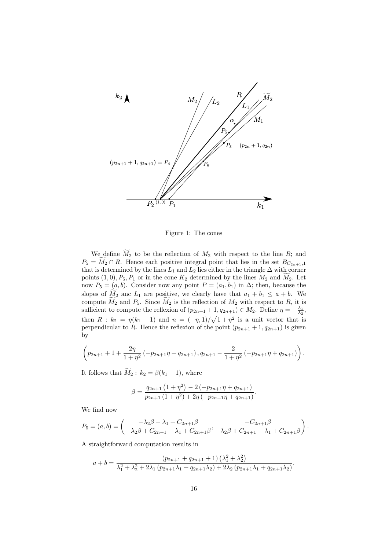

<span id="page-15-0"></span>Figure 1: The cones

We define  $\widetilde{M}_2$  to be the reflection of  $M_2$  with respect to the line R; and  $P_5 = \widetilde{M}_2 \cap R$ . Hence each positive integral point that lies in the set  $B_{C_{2n+1},1}$ that is determined by the lines  $L_1$  and  $L_2$  lies either in the triangle  $\Delta$  with corner points  $(1, 0), P_5, P_1$  or in the cone  $K_2$  determined by the lines  $M_2$  and  $M_2$ . Let now  $P_5 = (a, b)$ . Consider now any point  $P = (a_1, b_1)$  in  $\Delta$ ; then, because the slopes of  $M_2$  anc  $L_1$  are positive, we clearly have that  $a_1 + b_1 \le a + b$ . We compute  $\widetilde{M}_2$  and  $P_5$ . Since  $\widetilde{M}_2$  is the reflection of  $M_2$  with respect to R, it is sufficient to compute the reflexion of  $(p_{2n+1}+1, q_{2n+1}) \in M_2$ . Define  $\eta = -\frac{\lambda_1}{\lambda_2}$ , then  $R : k_2 = \eta(k_1 - 1)$  and  $n = (-\eta, 1)/\sqrt{1 + \eta^2}$  is a unit vector that is perpendicular to R. Hence the reflexion of the point  $(p_{2n+1} + 1, q_{2n+1})$  is given by

$$
\left(p_{2n+1}+1+\frac{2\eta}{1+\eta^2}\left(-p_{2n+1}\eta+q_{2n+1}\right),q_{2n+1}-\frac{2}{1+\eta^2}\left(-p_{2n+1}\eta+q_{2n+1}\right)\right).
$$

It follows that  $\widetilde{M}_2$  :  $k_2 = \beta(k_1 - 1)$ , where

$$
\beta = \frac{q_{2n+1} (1 + \eta^2) - 2(-p_{2n+1}\eta + q_{2n+1})}{p_{2n+1} (1 + \eta^2) + 2\eta (-p_{2n+1}\eta + q_{2n+1})}.
$$

We find now

$$
P_5 = (a, b) = \left( \frac{-\lambda_2 \beta - \lambda_1 + C_{2n+1} \beta}{-\lambda_2 \beta + C_{2n+1} - \lambda_1 + C_{2n+1} \beta}, \frac{-C_{2n+1} \beta}{-\lambda_2 \beta + C_{2n+1} - \lambda_1 + C_{2n+1} \beta} \right).
$$

A straightforward computation results in

$$
a+b = \frac{(p_{2n+1} + q_{2n+1} + 1) (\lambda_1^2 + \lambda_2^2)}{\lambda_1^2 + \lambda_2^2 + 2\lambda_1 (p_{2n+1}\lambda_1 + q_{2n+1}\lambda_2) + 2\lambda_2 (p_{2n+1}\lambda_1 + q_{2n+1}\lambda_2)}.
$$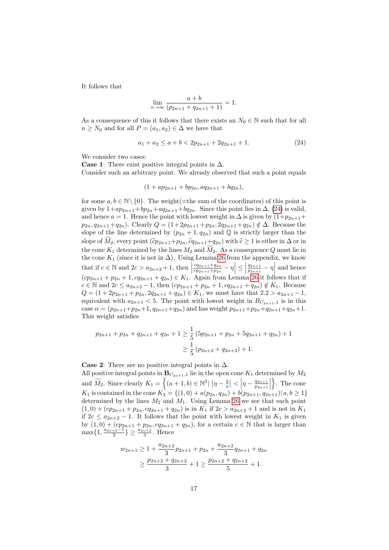It follows that

<span id="page-16-0"></span>
$$
\lim_{n \to \infty} \frac{a+b}{(p_{2n+1} + q_{2n+1} + 1)} = 1.
$$

As a consequence of this it follows that there exists an  $N_0 \in \mathbb{N}$  such that for all  $n \geq N_0$  and for all  $P = (a_1, a_2) \in \Delta$  we have that

$$
a_1 + a_2 \le a + b < 2p_{2n+1} + 2q_{2n+1} + 1. \tag{24}
$$

We consider two cases:

**Case 1:** There exist positive integral points in  $\Delta$ . Consider such an arbitrary point. We already observed that such a point equals

$$
(1 + ap_{2n+1} + bp_{2n}, aq_{2n+1} + bq_{2n}),
$$

for some  $a, b \in \mathbb{N} \setminus \{0\}$ . The weight(=the sum of the coordinates) of this point is given by  $1+ap_{2n+1}+bp_{2n}+aq_{2n+1}+bq_{2n}$ . Since this point lies in  $\Delta$ , [\(24\)](#page-16-0) is valid, and hence  $a = 1$ . Hence the point with lowest weight in  $\Delta$  is given by  $(1+p_{2n+1}+$  $p_{2n}, q_{2n+1}+q_{2n}).$  Clearly  $Q = (1+2p_{2n+1}+p_{2n}, 2q_{2n+1}+q_{2n}) \notin \Delta$ . Because the slope of the line determined by  $(p_{2n} + 1, q_{2n})$  and Q is strictly larger than the slope of  $M_2$ , every point  $(\tilde{c}p_{2n+1}+p_{2n}, \tilde{c}q_{2n+1}+q_{2n})$  with  $\tilde{c} \ge 1$  is either in  $\Delta$  or in the cone  $K_1$  determined by the lines  $M_2$  and  $\widetilde{M}_2$ . As a consequence Q must lie in the cone  $K_1$  (since it is not in  $\Delta$ ). Using Lemma [26](#page-23-0) from the appendix, we know that if  $c \in \mathbb{N}$  and  $2c > a_{2n+2} + 1$ , then  $cq_{2n+1}+q_{2n}$  $\left| \frac{cq_{2n+1}+q_{2n}}{cp_{2n+1}+p_{2n}} - \eta \right| \leq \left|$  $q_{2n+1}$  $\frac{q_{2n+1}}{p_{2n+1}} - \eta$  and hence  $(cp_{2n+1} + p_{2n} + 1, cq_{2n+1} + q_{2n}) \in K_1$ . Again from Lemma [26](#page-23-0) it follows that if  $c \in \mathbb{N}$  and  $2c \le a_{2n+2} - 1$ , then  $(cp_{2n+1} + p_{2n} + 1, cq_{2n+1} + q_{2n}) \notin K_1$ . Because  $Q = (1 + 2p_{2n+1} + p_{2n}, 2q_{2n+1} + q_{2n}) \in K_1$ , we must have that  $2.2 > a_{2n+1} - 1$ , equivalent with  $a_{2n+1} < 5$ . The point with lowest weight in  $B_{C_{2n+1},1}$  is in this case  $\alpha = (p_{2n+1}+p_{2n}+1, q_{2n+1}+q_{2n})$  and has weight  $p_{2n+1}+p_{2n}+q_{2n+1}+q_{2n}+1$ . This weight satisfies

$$
p_{2n+1} + p_{2n} + q_{2n+1} + q_{2n} + 1 \ge \frac{1}{5} \left( 5p_{2n+1} + p_{2n} + 5q_{2n+1} + q_{2n} \right) + 1
$$
  

$$
\ge \frac{1}{5} \left( p_{2n+2} + q_{2n+2} \right) + 1.
$$

Case 2: There are no positive integral points in  $\Delta$ . All positive integral points in  $\mathbf{B}_{C_{2n+1},1}$  lie in the open cone  $K_1$  determined by  $M_2$ and  $\widetilde{M}_2$ . Since clearly  $K_1 = \left\{ (a+1,b) \in \mathbb{N}^2 \middle| \left| \eta - \frac{b}{a} \right| < \left| \eta - \frac{q_{2n+1}}{p_{2n+1}} \right| \right\}$  $\frac{q_{2n+1}}{p_{2n+1}}$  $\}$ . The cone K<sub>1</sub> is contained in the cone  $K_2 = \{(1,0) + a(p_{2n}, q_{2n}) + b(p_{2n+1}, q_{2n+1}) | a, b \ge 1\}$ determined by the lines  $M_2$  and  $M_1$ . Using Lemma [26](#page-23-0) we see that each point  $(1,0) + (cp_{2n+1} + p_{2n}, cq_{2n+1} + q_{2n})$  is in  $K_1$  if  $2c > a_{2n+2} + 1$  and is not in  $K_1$ if  $2c \le a_{2n+2} - 1$ . It follows that the point with lowest weight in  $K_1$  is given by  $(1, 0) + (cp_{2n+1} + p_{2n}, cq_{2n+1} + q_{2n})$ , for a certain  $c \in \mathbb{N}$  that is larger than  $\max\{1, \frac{a_{2n+2}-1}{2}\}\geq \frac{a_{2n+2}}{3}$ . Hence

$$
w_{2n+1} \ge 1 + \frac{a_{2n+2}}{3}p_{2n+1} + p_{2n} + \frac{a_{2n+2}}{3}q_{2n+1} + q_{2n}
$$
  
 
$$
\ge \frac{p_{2n+2} + q_{2n+2}}{3} + 1 \ge \frac{p_{2n+2} + q_{2n+2}}{5} + 1.
$$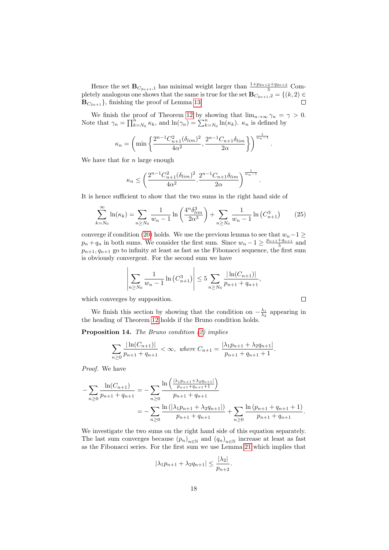Hence the set  $\mathbf{B}_{C_{2n+1},1}$  has minimal weight larger than  $\frac{1+p_{2n+2}+q_{2n+2}}{5}$  Completely analogous one shows that the same is true for the set  $\mathbf{B}_{C_{2n+1},2} = \{(k,2) \in$  $\mathbf{B}_{C_{2n+1}}$ , finishing the proof of Lemma [13.](#page-14-0)

We finish the proof of Theorem [12](#page-10-3) by showing that  $\lim_{n\to\infty} \gamma_n = \gamma > 0$ . Note that  $\gamma_n = \prod_{k=N_0}^n \kappa_k$ , and  $\ln(\gamma_n) = \sum_{k=N_0}^n \ln(\kappa_k)$ .  $\kappa_n$  is defined by

$$
\kappa_n = \left(\min\left\{\frac{2^{n-1}C_{n+1}^2(\delta_{lim})^2}{4\alpha^2}, \frac{2^{n-1}C_{n+1}\delta_{lim}}{2\alpha}\right\}\right)^{\frac{1}{w_n-1}}.
$$

We have that for  $n$  large enough

$$
\kappa_n \le \left(\frac{2^{n-1}C_{n+1}^2(\delta_{lim})^2}{4\alpha^2} \cdot \frac{2^{n-1}C_{n+1}\delta_{lim}}{2\alpha}\right)^{\frac{1}{w_n-1}}
$$

It is hence sufficient to show that the two sums in the right hand side of

$$
\sum_{k=N_0}^{\infty} \ln(\kappa_k) = \sum_{n \ge N_0} \frac{1}{w_n - 1} \ln\left(\frac{4^n \delta_{\lim}^3}{2\alpha^3}\right) + \sum_{n \ge N_0} \frac{1}{w_n - 1} \ln\left(C_{n+1}^3\right) \tag{25}
$$

.

 $\Box$ 

converge if condition [\(20\)](#page-10-4) holds. We use the previous lemma to see that  $w_n-1 \geq$  $p_n + q_n$  in both sums. We consider the first sum. Since  $w_n - 1 \ge \frac{p_{n+1} + q_{n+1}}{5}$  and  $p_{n+1}, q_{n+1}$  go to infinity at least as fast as the Fibonacci sequence, the first sum is obviously convergent. For the second sum we have

$$
\left| \sum_{n \ge N_0} \frac{1}{w_n - 1} \ln \left( C_{n+1}^3 \right) \right| \le 5 \sum_{n \ge N_0} \frac{|\ln(C_{n+1})|}{p_{n+1} + q_{n+1}},
$$

which converges by supposition.

We finish this section by showing that the condition on  $-\frac{\lambda_1}{\lambda_2}$  appearing in the heading of Theorem [12](#page-10-3) holds if the Bruno condition holds.

Proposition 14. The Bruno condition [\(2\)](#page-1-2) implies

$$
\sum_{n\geq 0} \frac{|\ln(C_{n+1})|}{p_{n+1} + q_{n+1}} < \infty, \text{ where } C_{n+1} = \frac{|\lambda_1 p_{n+1} + \lambda_2 q_{n+1}|}{p_{n+1} + q_{n+1} + 1}.
$$

Proof. We have

$$
-\sum_{n\geq 0} \frac{\ln(C_{n+1})}{p_{n+1} + q_{n+1}} = -\sum_{n\geq 0} \frac{\ln\left(\frac{|\lambda_1 p_{n+1} + \lambda_2 q_{n+1}|}{p_{n+1} + q_{n+1} + 1}\right)}{p_{n+1} + q_{n+1}} = -\sum_{n\geq 0} \frac{\ln\left(|\lambda_1 p_{n+1} + \lambda_2 q_{n+1}|\right)}{p_{n+1} + q_{n+1}} + \sum_{n\geq 0} \frac{\ln\left(p_{n+1} + q_{n+1} + 1\right)}{p_{n+1} + q_{n+1}}.
$$

We investigate the two sums on the right hand side of this equation separately. The last sum converges because  $(p_n)_{n \in \mathbb{N}}$  and  $(q_n)_{n \in \mathbb{N}}$  increase at least as fast as the Fibonacci series. For the first sum we use Lemma [21](#page-21-1) which implies that

$$
|\lambda_1 p_{n+1} + \lambda_2 q_{n+1}| \le \frac{|\lambda_2|}{p_{n+2}}.
$$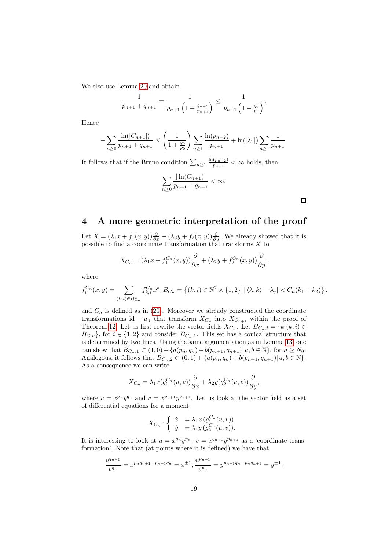We also use Lemma [20](#page-20-1) and obtain

$$
\frac{1}{p_{n+1} + q_{n+1}} = \frac{1}{p_{n+1} \left(1 + \frac{q_{n+1}}{p_{n+1}}\right)} \le \frac{1}{p_{n+1} \left(1 + \frac{q_0}{p_0}\right)}.
$$

Hence

$$
-\sum_{n\geq 0} \frac{\ln(|C_{n+1}|)}{p_{n+1}+q_{n+1}} \leq \left(\frac{1}{1+\frac{q_0}{p_0}}\right) \sum_{n\geq 1} \frac{\ln(p_{n+2})}{p_{n+1}} + \ln(|\lambda_2|) \sum_{n\geq 1} \frac{1}{p_{n+1}}.
$$

It follows that if the Bruno condition  $\sum_{n\geq 1} \frac{\ln(p_{n+2})}{p_{n+1}}$  $\frac{p_{n+2}}{p_{n+1}} < \infty$  holds, then

$$
\sum_{n\geq 0} \frac{|\ln(C_{n+1})|}{p_{n+1} + q_{n+1}} < \infty.
$$

 $\Box$ 

### <span id="page-18-0"></span>4 A more geometric interpretation of the proof

Let  $X = (\lambda_1 x + f_1(x, y)) \frac{\partial}{\partial x} + (\lambda_2 y + f_2(x, y)) \frac{\partial}{\partial y}$ . We already showed that it is possible to find a coordinate transformation that transforms  $X$  to

$$
X_{C_n} = (\lambda_1 x + f_1^{C_n}(x, y)) \frac{\partial}{\partial x} + (\lambda_2 y + f_2^{C_n}(x, y)) \frac{\partial}{\partial y},
$$

where

$$
f_i^{C_n}(x,y) = \sum_{(k,i) \in B_{C_n}} f_{k,i}^{C_n} x^k, B_{C_n} = \left\{ (k,i) \in \mathbb{N}^2 \times \{1,2\} | \left| \langle \lambda, k \rangle - \lambda_j \right| < C_n(k_1 + k_2) \right\},\,
$$

and  $C_n$  is defined as in [\(20\)](#page-10-4). Moreover we already constructed the coordinate transformations id +  $u_n$  that transform  $X_{C_n}$  into  $X_{C_{n+1}}$  within the proof of Theorem [12.](#page-10-3) Let us first rewrite the vector fields  $X_{C_n}$ . Let  $B_{C_n,i} = \{k | (k,i) \in$  $B_{C,n}$ , for  $i \in \{1,2\}$  and consider  $B_{C_n,1}$ . This set has a conical structure that is determined by two lines. Using the same argumentation as in Lemma [13,](#page-14-0) one can show that  $B_{C_n,1} \subset (1,0) + \{a(p_n,q_n) + b(p_{n+1},q_{n+1}) | a,b \in \mathbb{N}\},\$  for  $n \geq N_0$ . Analogous, it follows that  $B_{C_n,2} \subset (0,1) + \{a(p_n,q_n) + b(p_{n+1},q_{n+1}) | a, b \in \mathbb{N}\}.$ As a consequence we can write

$$
X_{C_n} = \lambda_1 x(g_1^{C_n}(u,v)) \frac{\partial}{\partial x} + \lambda_2 y(g_2^{C_n}(u,v)) \frac{\partial}{\partial y},
$$

where  $u = x^{p_n}y^{q_n}$  and  $v = x^{p_{n+1}}y^{q_{n+1}}$ . Let us look at the vector field as a set of differential equations for a moment.

$$
X_{C_n}: \begin{cases} \begin{array}{l} \dot{x} &= \lambda_1 x \left( g_1^{C_n}(u,v) \right) \\ \dot{y} &= \lambda_1 y \left( g_2^{C_n}(u,v) \right). \end{array} \end{cases}
$$

It is interesting to look at  $u = x^{q_n}y^{p_n}$ ,  $v = x^{q_{n+1}}y^{p_{n+1}}$  as a 'coordinate transformation'. Note that (at points where it is defined) we have that

$$
\frac{u^{q_{n+1}}}{v^{q_n}} = x^{p_n q_{n+1} - p_{n+1} q_n} = x^{\pm 1}, \frac{u^{p_{n+1}}}{v^{p_n}} = y^{p_{n+1} q_n - p_n q_{n+1}} = y^{\pm 1}.
$$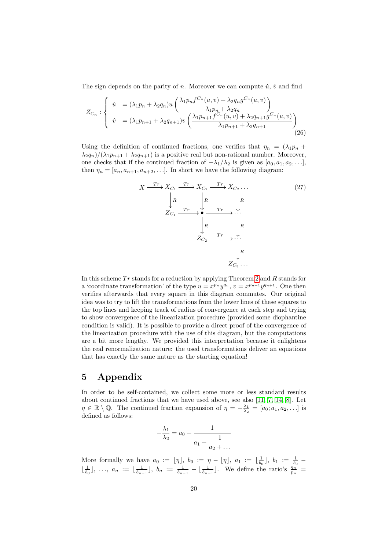The sign depends on the parity of n. Moreover we can compute  $\dot{u}$ ,  $\dot{v}$  and find

$$
Z_{C_n} : \begin{cases} \n\dot{u} = (\lambda_1 p_n + \lambda_2 q_n) u \left( \frac{\lambda_1 p_n f^{C_n}(u, v) + \lambda_2 q_n g^{C_n}(u, v)}{\lambda_1 p_n + \lambda_2 q_n} \right) \\
\dot{v} = (\lambda_1 p_{n+1} + \lambda_2 q_{n+1}) v \left( \frac{\lambda_1 p_{n+1} f^{C_n}(u, v) + \lambda_2 q_{n+1} g^{C_n}(u, v)}{\lambda_1 p_{n+1} + \lambda_2 q_{n+1}} \right) \\
\end{cases} \tag{26}
$$

Using the definition of continued fractions, one verifies that  $\eta_n = (\lambda_1 p_n +$  $\lambda_2 q_n$ / $(\lambda_1 p_{n+1} + \lambda_2 q_{n+1})$  is a positive real but non-rational number. Moreover, one checks that if the continued fraction of  $-\lambda_1/\lambda_2$  is given as  $[a_0, a_1, a_2, \ldots]$ , then  $\eta_n = [a_n, a_{n+1}, a_{n+2}, \ldots]$ . In short we have the following diagram:

$$
X \xrightarrow{\operatorname{Tr}} X_{C_1} \xrightarrow{\operatorname{Tr}} X_{C_2} \xrightarrow{\operatorname{Tr}} X_{C_2} \dots
$$
\n
$$
\downarrow R \qquad \downarrow R \qquad \downarrow R \qquad \downarrow R
$$
\n
$$
Z_{C_1} \xrightarrow{\operatorname{Tr}} \bullet \xrightarrow{\operatorname{Tr}} \cdot \cdot \cdot \cdot
$$
\n
$$
Z_{C_2} \xrightarrow{\operatorname{Tr}} \cdot \cdot \cdot \cdot \cdot
$$
\n
$$
Z_{C_3} \dots
$$
\n
$$
(27)
$$

In this scheme  $Tr$  stands for a reduction by applying Theorem [2](#page-2-0) and  $R$  stands for a 'coordinate transformation' of the type  $u = x^{p_n}y^{q_n}$ ,  $v = x^{p_{n+1}}y^{q_{n+1}}$ . One then verifies afterwards that every square in this diagram commutes. Our original idea was to try to lift the transformations from the lower lines of these squares to the top lines and keeping track of radius of convergence at each step and trying to show convergence of the linearization procedure (provided some diophantine condition is valid). It is possible to provide a direct proof of the convergence of the linearization procedure with the use of this diagram, but the computations are a bit more lengthy. We provided this interpretation because it enlightens the real renormalization nature: the used transformations deliver an equations that has exactly the same nature as the starting equation!

## 5 Appendix

In order to be self-contained, we collect some more or less standard results about continued fractions that we have used above, see also [\[11,](#page-24-11) [7,](#page-24-12) [14,](#page-24-7) [8\]](#page-24-13). Let  $\eta \in \mathbb{R} \setminus \mathbb{Q}$ . The continued fraction expansion of  $\eta = -\frac{\lambda_1}{\lambda_2} = [a_0; a_1, a_2, \ldots]$  is defined as follows:

$$
-\frac{\lambda_1}{\lambda_2} = a_0 + \cfrac{1}{a_1 + \cfrac{1}{a_2 + \dots}}
$$

More formally we have  $a_0 := [\eta], b_0 := \eta - [\eta], a_1 := \lfloor \frac{1}{b_0} \rfloor, b_1 := \frac{1}{b_0}$  $\lfloor \frac{1}{b_0} \rfloor, \ldots, a_n := \lfloor \frac{1}{b_{n-1}} \rfloor, b_n := \frac{1}{b_{n-1}} - \lfloor \frac{1}{b_{n-1}} \rfloor$ . We define the ratio's  $\frac{q_n}{p_n}$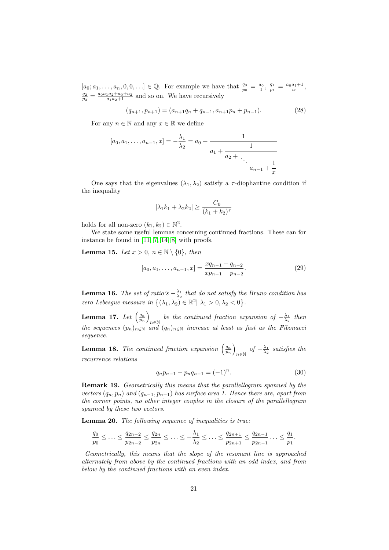$[a_0; a_1, \ldots, a_n, 0, 0, \ldots] \in \mathbb{Q}$ . For example we have that  $\frac{q_0}{p_0} = \frac{a_0}{1}, \frac{q_1}{p_1} = \frac{a_0 a_1 + 1}{a_1},$  $\frac{q_2}{p_2} = \frac{a_0 a_1 a_2 + a_0 + a_2}{a_1 a_2 + 1}$  and so on. We have recursively

$$
(q_{n+1}, p_{n+1}) = (a_{n+1}q_n + q_{n-1}, a_{n+1}p_n + p_{n-1}).
$$
\n(28)

For any  $n \in \mathbb{N}$  and any  $x \in \mathbb{R}$  we define

$$
[a_0, a_1, \dots, a_{n-1}, x] = -\frac{\lambda_1}{\lambda_2} = a_0 + \cfrac{1}{a_1 + \cfrac{1}{a_2 + \ddots + a_{n-1} + \frac{1}{x}}}
$$

One says that the eigenvalues  $(\lambda_1, \lambda_2)$  satisfy a  $\tau$ -diophantine condition if the inequality

$$
|\lambda_1 k_1 + \lambda_2 k_2| \ge \frac{C_0}{(k_1 + k_2)^\tau}
$$

holds for all non-zero  $(k_1, k_2) \in \mathbb{N}^2$ .

We state some useful lemmas concerning continued fractions. These can for instance be found in [\[11,](#page-24-11) [7,](#page-24-12) [14,](#page-24-7) [8\]](#page-24-13) with proofs.

**Lemma 15.** Let  $x > 0$ ,  $n \in \mathbb{N} \setminus \{0\}$ , then

$$
[a_0, a_1, \dots, a_{n-1}, x] = \frac{xq_{n-1} + q_{n-2}}{xp_{n-1} + p_{n-2}}.
$$
\n(29)

**Lemma 16.** The set of ratio's  $-\frac{\lambda_1}{\lambda_2}$  that do not satisfy the Bruno condition has zero Lebesgue measure in  $\{(\lambda_1, \lambda_2) \in \mathbb{R}^2 \mid \lambda_1 > 0, \lambda_2 < 0\}.$ 

Lemma 17. Let  $\left(\frac{q_n}{p_n}\right)$ be the continued fraction expansion of  $-\frac{\lambda_1}{\lambda_2}$  then the sequences  $(p_n)_{n \in \mathbb{N}}$  and  $(q_n)_{n \in \mathbb{N}}$  increase at least as fast as the Fibonacci sequence.

**Lemma 18.** The continued fraction expansion  $\left(\frac{q_n}{p_n}\right)$  $\lim_{n \in \mathbb{N}}$  of  $-\frac{\lambda_1}{\lambda_2}$  satisfies the recurrence relations

$$
q_n p_{n-1} - p_n q_{n-1} = (-1)^n.
$$
\n(30)

<span id="page-20-0"></span>Remark 19. Geometrically this means that the parallellogram spanned by the vectors  $(q_n, p_n)$  and  $(q_{n-1}, p_{n-1})$  has surface area 1. Hence there are, apart from the corner points, no other integer couples in the closure of the parallellogram spanned by these two vectors.

<span id="page-20-1"></span>Lemma 20. The following sequence of inequalities is true:

$$
\frac{q_0}{p_0} \leq \ldots \leq \frac{q_{2n-2}}{p_{2n-2}} \leq \frac{q_{2n}}{p_{2n}} \leq \ldots \leq -\frac{\lambda_1}{\lambda_2} \leq \ldots \leq \frac{q_{2n+1}}{p_{2n+1}} \leq \frac{q_{2n-1}}{p_{2n-1}} \ldots \leq \frac{q_1}{p_1}.
$$

Geometrically, this means that the slope of the resonant line is approached alternately from above by the continued fractions with an odd index, and from below by the continued fractions with an even index.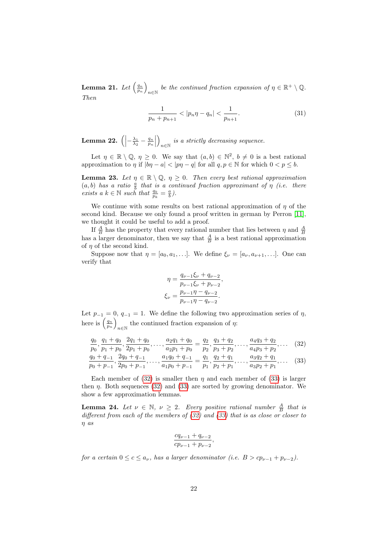Lemma 21. Let  $\left(\frac{q_n}{p_n}\right)$ be the continued fraction expansion of  $\eta \in \mathbb{R}^+ \setminus \mathbb{Q}$ . Then

<span id="page-21-1"></span>
$$
\frac{1}{p_n + p_{n+1}} < |p_n \eta - q_n| < \frac{1}{p_{n+1}}.\tag{31}
$$

<span id="page-21-0"></span>Lemma 22.  $\left(\left|-\frac{\lambda_1}{\lambda_2}-\frac{q_n}{p_n}\right|\right)$  $\setminus$  $i s a \ strictly \ decreasing \ sequence.$ 

Let  $\eta \in \mathbb{R} \setminus \mathbb{Q}, \eta \geq 0$ . We say that  $(a, b) \in \mathbb{N}^2, b \neq 0$  is a best rational approximation to  $\eta$  if  $|b\eta - a| < |p\eta - a|$  for all  $q, p \in \mathbb{N}$  for which  $0 < p \leq b$ .

**Lemma 23.** Let  $\eta \in \mathbb{R} \setminus \mathbb{Q}$ ,  $\eta \geq 0$ . Then every best rational approximation  $(a, b)$  has a ratio  $\frac{a}{b}$  that is a continued fraction approximant of  $\eta$  (i.e. there exists a  $k \in \mathbb{N}$  such that  $\frac{q_k}{p_k} = \frac{a}{b}$ .

We continue with some results on best rational approximation of  $\eta$  of the second kind. Because we only found a proof written in german by Perron [\[11\]](#page-24-11), we thought it could be useful to add a proof.

If  $\frac{A}{B}$  has the property that every rational number that lies between  $\eta$  and  $\frac{A}{B}$ has a larger denominator, then we say that  $\frac{A}{B}$  is a best rational approximation of  $\eta$  of the second kind.

Suppose now that  $\eta = [a_0, a_1, \ldots]$ . We define  $\xi_{\nu} = [a_{\nu}, a_{\nu+1}, \ldots]$ . One can verify that

<span id="page-21-2"></span>
$$
\eta = \frac{q_{\nu-1}\xi_{\nu} + q_{\nu-2}}{p_{\nu-1}\xi_{\nu} + p_{\nu-2}},
$$

$$
\xi_{\nu} = \frac{p_{\nu-1}\eta - q_{\nu-2}}{p_{\nu-1}\eta - q_{\nu-2}}.
$$

Let  $p_{-1} = 0$ ,  $q_{-1} = 1$ . We define the following two approximation series of  $\eta$ , here is  $\left(\frac{q_n}{p_n}\right)$ the continued fraction expansion of  $\eta$ :

$$
\frac{q_0}{p_0}, \frac{q_1 + q_0}{p_1 + p_0}, \frac{2q_1 + q_0}{2p_1 + p_0}, \dots, \frac{a_2q_1 + q_0}{a_2p_1 + p_0} = \frac{q_2}{p_2}, \frac{q_3 + q_2}{p_3 + p_2}, \dots, \frac{a_4q_3 + q_2}{a_4p_3 + p_2}, \dots
$$
\n
$$
\frac{q_0 + q_{-1}}{p_0 + q_{-1}}, \frac{2q_0 + q_{-1}}{2p_0 + p_{-1}}, \dots, \frac{a_1q_0 + q_{-1}}{a_1p_0 + p_{-1}} = \frac{q_1}{p_1}, \frac{q_2 + q_1}{p_2 + p_1}, \dots, \frac{a_3q_2 + q_1}{a_3p_2 + p_1}, \dots
$$
\n(33)

Each member of  $(32)$  is smaller then  $\eta$  and each member of  $(33)$  is larger then  $\eta$ . Both sequences [\(32\)](#page-21-2) and [\(33\)](#page-21-3) are sorted by growing denominator. We show a few approximation lemmas.

**Lemma 24.** Let  $\nu \in \mathbb{N}$ ,  $\nu \geq 2$ . Every positive rational number  $\frac{A}{B}$  that is different from each of the members of  $(32)$  and  $(33)$  that is as close or closer to η as

<span id="page-21-3"></span>
$$
\frac{cq_{\nu-1}+q_{\nu-2}}{cp_{\nu-1}+p_{\nu-2}},
$$

for a certain  $0 \leq c \leq a_{\nu}$ , has a larger denominator (i.e.  $B > cp_{\nu-1} + p_{\nu-2}$ ).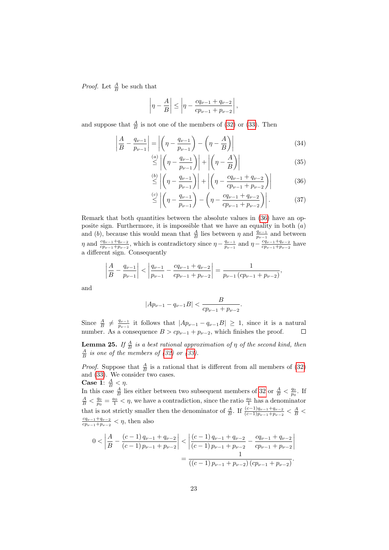*Proof.* Let  $\frac{A}{B}$  be such that

$$
\left|\eta - \frac{A}{B}\right| \le \left|\eta - \frac{cq_{\nu-1} + q_{\nu-2}}{cp_{\nu-1} + p_{\nu-2}}\right|,
$$

and suppose that  $\frac{A}{B}$  is not one of the members of [\(32\)](#page-21-2) or [\(33\)](#page-21-3). Then

$$
\left| \frac{A}{B} - \frac{q_{\nu-1}}{p_{\nu-1}} \right| = \left| \left( \eta - \frac{q_{\nu-1}}{p_{\nu-1}} \right) - \left( \eta - \frac{A}{B} \right) \right| \tag{34}
$$

$$
\stackrel{(a)}{\leq} \left| \left( \eta - \frac{q_{\nu-1}}{p_{\nu-1}} \right) \right| + \left| \left( \eta - \frac{A}{B} \right) \right| \tag{35}
$$

<span id="page-22-0"></span>
$$
\stackrel{(b)}{\leq} \left| \left( \eta - \frac{q_{\nu-1}}{p_{\nu-1}} \right) \right| + \left| \left( \eta - \frac{cq_{\nu-1} + q_{\nu-2}}{cp_{\nu-1} + p_{\nu-2}} \right) \right| \tag{36}
$$

$$
\stackrel{(c)}{\leq} \left| \left( \eta - \frac{q_{\nu-1}}{p_{\nu-1}} \right) - \left( \eta - \frac{cq_{\nu-1} + q_{\nu-2}}{cp_{\nu-1} + p_{\nu-2}} \right) \right|.
$$
 (37)

Remark that both quantities between the absolute values in [\(36\)](#page-22-0) have an opposite sign. Furthermore, it is impossible that we have an equality in both  $(a)$ and (b), because this would mean that  $\frac{A}{B}$  lies between  $\eta$  and  $\frac{q_{\nu-1}}{p_{\nu-1}}$  and between  $\eta$  and  $\frac{cq_{\nu-1}+q_{\nu-2}}{c_{p_{\nu-1}+p_{\nu-2}}}$ , which is contradictory since  $\eta - \frac{q_{\nu-1}}{p_{\nu-1}}$  $\frac{q_{\nu-1}}{p_{\nu-1}}$  and  $\eta - \frac{cq_{\nu-1}+q_{\nu-2}}{cp_{\nu-1}+p_{\nu-2}}$  $\frac{cq_{\nu-1}+q_{\nu-2}}{cp_{\nu-1}+p_{\nu-2}}$  have a different sign. Consequently

$$
\left|\frac{A}{B} - \frac{q_{\nu-1}}{p_{\nu-1}}\right| < \left|\frac{q_{\nu-1}}{p_{\nu-1}} - \frac{cq_{\nu-1} + q_{\nu-2}}{cp_{\nu-1} + p_{\nu-2}}\right| = \frac{1}{p_{\nu-1}\left(c p_{\nu-1} + p_{\nu-2}\right)},
$$

and

$$
|Ap_{\nu-1} - q_{\nu-1}B| < \frac{B}{cp_{\nu-1} + p_{\nu-2}}.
$$

Since  $\frac{A}{B} \neq \frac{q_{\nu-1}}{p_{\nu-1}}$  $\frac{q_{\nu-1}}{p_{\nu-1}}$  it follows that  $|Ap_{\nu-1} - q_{\nu-1}B| \geq 1$ , since it is a natural number. As a consequence  $B > cp_{\nu-1} + p_{\nu-2}$ , which finishes the proof.

**Lemma 25.** If  $\frac{A}{B}$  is a best rational approximation of  $\eta$  of the second kind, then  $\frac{A}{B}$  is one of the members of [\(32\)](#page-21-2) or [\(33\)](#page-21-3).

*Proof.* Suppose that  $\frac{A}{B}$  is a rational that is different from all members of [\(32\)](#page-21-2) and [\(33\)](#page-21-3). We consider two cases.

Case 1:  $\frac{A}{B} < \eta$ . In this case  $\frac{A}{B}$  lies either between two subsequent members of [32](#page-21-2) or  $\frac{A}{B} < \frac{q_0}{p_0}$ . If  $\frac{A}{B} < \frac{q_0}{p_0} = \frac{a_0}{1} < \eta$ , we have a contradiction, since the ratio  $\frac{a_0}{1}$  has a denominator that is not strictly smaller then the denominator of  $\frac{A}{B}$ . If  $\frac{(c-1)q_{\nu-1}+q_{\nu-2}}{(c-1)p_{\nu-1}+p_{\nu-2}} < \frac{A}{B}$  $cq_{\nu-1}+q_{\nu-2}$  $\frac{cq_{\nu-1}+q_{\nu-2}}{cp_{\nu-1}+p_{\nu-2}}<\eta$ , then also

$$
0 < \left| \frac{A}{B} - \frac{(c-1)q_{\nu-1} + q_{\nu-2}}{(c-1)p_{\nu-1} + p_{\nu-2}} \right| < \left| \frac{(c-1)q_{\nu-1} + q_{\nu-2}}{(c-1)p_{\nu-1} + p_{\nu-2}} - \frac{cq_{\nu-1} + q_{\nu-2}}{cp_{\nu-1} + p_{\nu-2}} \right|
$$
\n
$$
= \frac{1}{((c-1)p_{\nu-1} + p_{\nu-2})(cp_{\nu-1} + p_{\nu-2})}.
$$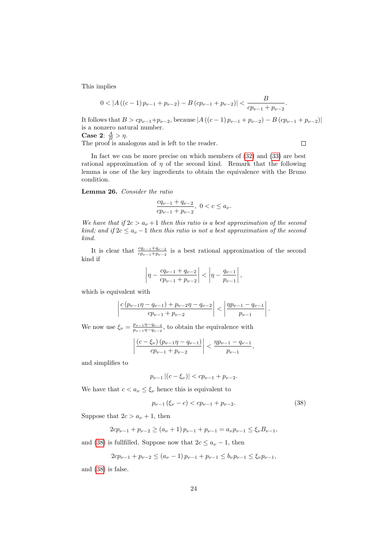This implies

$$
0<\left|A\left(\left(c-1\right)p_{\nu-1}+p_{\nu-2}\right)-B\left(c p_{\nu-1}+p_{\nu-2}\right)\right|<\frac{B}{cp_{\nu-1}+p_{\nu-2}}.
$$

It follows that  $B > cp_{\nu-1}+p_{\nu-2}$ , because  $|A((c-1)p_{\nu-1}+p_{\nu-2})-B(cp_{\nu-1}+p_{\nu-2})|$ is a nonzero natural number. Case 2:  $\frac{A}{B} > \eta$ .  $\Box$ The proof is analogous and is left to the reader.

In fact we can be more precise on which members of [\(32\)](#page-21-2) and [\(33\)](#page-21-3) are best rational approximation of  $\eta$  of the second kind. Remark that the following lemma is one of the key ingredients to obtain the equivalence with the Bruno condition.

<span id="page-23-0"></span>Lemma 26. Consider the ratio

$$
\frac{cq_{\nu-1}+q_{\nu-2}}{cp_{\nu-1}+p_{\nu-2}},\ 0
$$

We have that if  $2c > a_{\nu} + 1$  then this ratio is a best approximation of the second kind; and if  $2c \le a_{\nu} - 1$  then this ratio is not a best approximation of the second kind.

It is clear that  $\frac{cq_{\nu-1}+q_{\nu-2}}{c_{p_{\nu-1}+p_{\nu-2}}}$  is a best rational approximation of the second kind if

$$
\left|\eta - \frac{cq_{\nu-1} + q_{\nu-2}}{cp_{\nu-1} + p_{\nu-2}}\right| < \left|\eta - \frac{q_{\nu-1}}{p_{\nu-1}}\right|,
$$

which is equivalent with

$$
\left|\frac{c\left(p_{\nu-1}\eta-q_{\nu-1}\right)+p_{\nu-2}\eta-q_{\nu-2}}{cp_{\nu-1}+p_{\nu-2}}\right| < \left|\frac{\eta p_{\nu-1}-q_{\nu-1}}{p_{\nu-1}}\right|.
$$

We now use  $\xi_{\nu} = \frac{p_{\nu-1}\eta - q_{\nu-2}}{p_{\nu-1}\eta - q_{\nu-2}}$  $\frac{p_{\nu-1}\eta-q_{\nu-2}}{p_{\nu-1}\eta-q_{\nu-2}}$ , to obtain the equivalence with

$$
\left| \frac{(c - \xi_{\nu}) (p_{\nu-1} \eta - q_{\nu-1})}{cp_{\nu-1} + p_{\nu-2}} \right| < \frac{\eta p_{\nu-1} - q_{\nu-1}}{p_{\nu-1}},
$$

and simplifies to

$$
p_{\nu-1} |(c - \xi_{\nu})| < c p_{\nu-1} + p_{\nu-2}.
$$

We have that  $c < a_{\nu} \leq \xi_{\nu}$  hence this is equivalent to

<span id="page-23-1"></span>
$$
p_{\nu-1}(\xi_{\nu}-c) < cp_{\nu-1} + p_{\nu-2}.\tag{38}
$$

Suppose that  $2c > a_{\nu} + 1$ , then

$$
2cp_{\nu-1} + p_{\nu-2} \ge (a_{\nu} + 1)p_{\nu-1} + p_{\nu-1} = a_{\nu}p_{\nu-1} \le \xi_{\nu}B_{\nu-1},
$$

and [\(38\)](#page-23-1) is fullfilled. Suppose now that  $2c \le a_{\nu} - 1$ , then

$$
2cp_{\nu-1} + p_{\nu-2} \le (a_{\nu} - 1)p_{\nu-1} + p_{\nu-1} \le b_{\nu}p_{\nu-1} \le \xi_{\nu}p_{\nu-1},
$$

and [\(38\)](#page-23-1) is false.